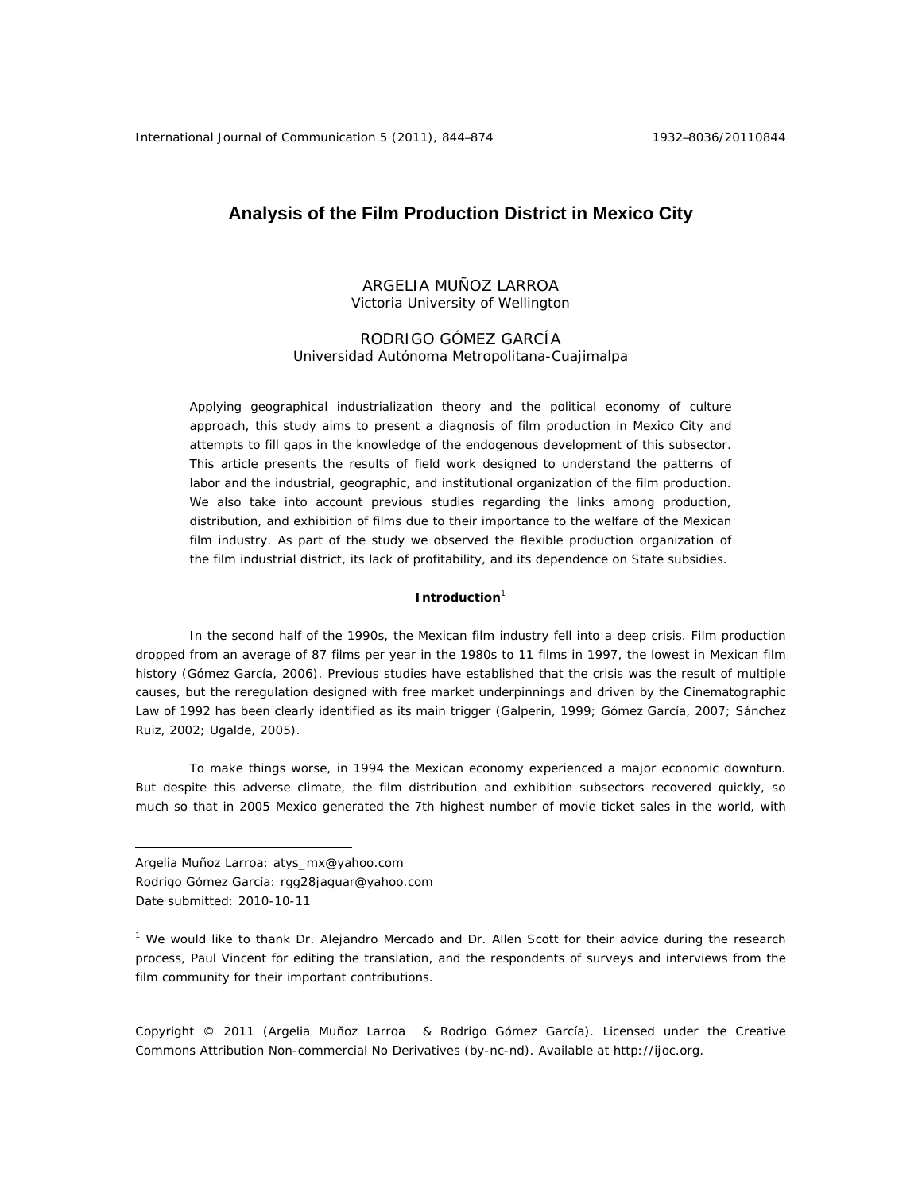# **Analysis of the Film Production District in Mexico City**

## ARGELIA MUÑOZ LARROA Victoria University of Wellington

## RODRIGO GÓMEZ GARCÍA Universidad Autónoma Metropolitana-Cuajimalpa

Applying geographical industrialization theory and the political economy of culture approach, this study aims to present a diagnosis of film production in Mexico City and attempts to fill gaps in the knowledge of the endogenous development of this subsector. This article presents the results of field work designed to understand the patterns of labor and the industrial, geographic, and institutional organization of the film production. We also take into account previous studies regarding the links among production, distribution, and exhibition of films due to their importance to the welfare of the Mexican film industry. As part of the study we observed the flexible production organization of the film industrial district, its lack of profitability, and its dependence on State subsidies.

#### **Introduction**<sup>1</sup>

In the second half of the 1990s, the Mexican film industry fell into a deep crisis. Film production dropped from an average of 87 films per year in the 1980s to 11 films in 1997, the lowest in Mexican film history (Gómez García, 2006). Previous studies have established that the crisis was the result of multiple causes, but the reregulation designed with free market underpinnings and driven by the Cinematographic Law of 1992 has been clearly identified as its main trigger (Galperin, 1999; Gómez García, 2007; Sánchez Ruiz, 2002; Ugalde, 2005).

To make things worse, in 1994 the Mexican economy experienced a major economic downturn. But despite this adverse climate, the film distribution and exhibition subsectors recovered quickly, so much so that in 2005 Mexico generated the 7th highest number of movie ticket sales in the world, with

 $\overline{a}$ 

Copyright © 2011 (Argelia Muñoz Larroa & Rodrigo Gómez García). Licensed under the Creative Commons Attribution Non-commercial No Derivatives (by-nc-nd). Available at http://ijoc.org.

Argelia Muñoz Larroa: atys\_mx@yahoo.com Rodrigo Gómez García: rgg28jaguar@yahoo.com Date submitted: 2010-10-11

<sup>&</sup>lt;sup>1</sup> We would like to thank Dr. Alejandro Mercado and Dr. Allen Scott for their advice during the research process, Paul Vincent for editing the translation, and the respondents of surveys and interviews from the film community for their important contributions.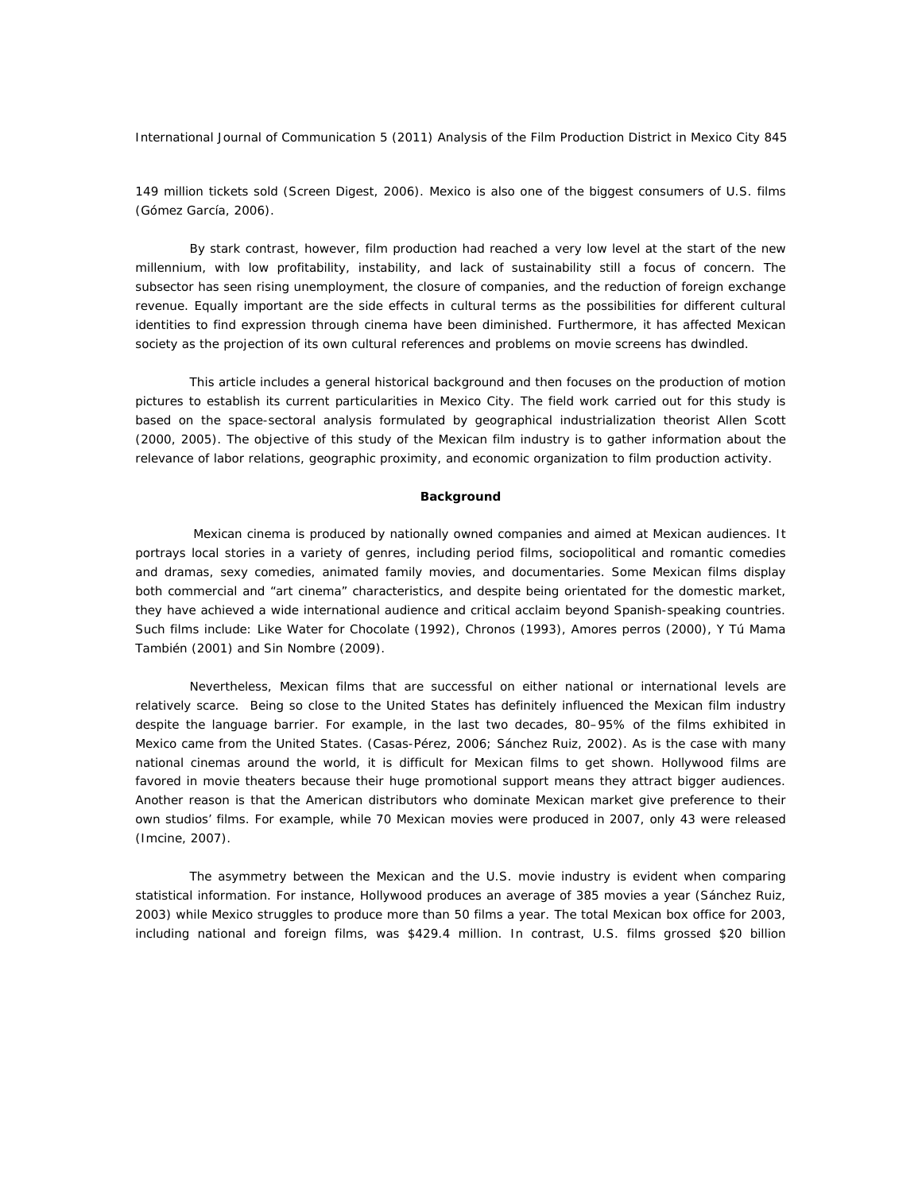149 million tickets sold (Screen Digest, 2006). Mexico is also one of the biggest consumers of U.S. films (Gómez García, 2006).

 By stark contrast, however, film production had reached a very low level at the start of the new millennium, with low profitability, instability, and lack of sustainability still a focus of concern. The subsector has seen rising unemployment, the closure of companies, and the reduction of foreign exchange revenue. Equally important are the side effects in cultural terms as the possibilities for different cultural identities to find expression through cinema have been diminished. Furthermore, it has affected Mexican society as the projection of its own cultural references and problems on movie screens has dwindled.

 This article includes a general historical background and then focuses on the production of motion pictures to establish its current particularities in Mexico City. The field work carried out for this study is based on the space-sectoral analysis formulated by geographical industrialization theorist Allen Scott (2000, 2005). The objective of this study of the Mexican film industry is to gather information about the relevance of labor relations, geographic proximity, and economic organization to film production activity.

## **Background**

Mexican cinema is produced by nationally owned companies and aimed at Mexican audiences. It portrays local stories in a variety of genres, including period films, sociopolitical and romantic comedies and dramas, sexy comedies, animated family movies, and documentaries. Some Mexican films display both commercial and "art cinema" characteristics, and despite being orientated for the domestic market, they have achieved a wide international audience and critical acclaim beyond Spanish-speaking countries. Such films include: *Like Water for Chocolate* (1992), *Chronos* (1993), *Amores perros* (2000), *Y Tú Mama También* (2001) and *Sin Nombre* (2009).

 Nevertheless, Mexican films that are successful on either national or international levels are relatively scarce. Being so close to the United States has definitely influenced the Mexican film industry despite the language barrier. For example, in the last two decades, 80–95% of the films exhibited in Mexico came from the United States. (Casas-Pérez, 2006; Sánchez Ruiz, 2002). As is the case with many national cinemas around the world, it is difficult for Mexican films to get shown. Hollywood films are favored in movie theaters because their huge promotional support means they attract bigger audiences. Another reason is that the American distributors who dominate Mexican market give preference to their own studios' films. For example, while 70 Mexican movies were produced in 2007, only 43 were released (Imcine, 2007).

 The asymmetry between the Mexican and the U.S. movie industry is evident when comparing statistical information. For instance, Hollywood produces an average of 385 movies a year (Sánchez Ruiz, 2003) while Mexico struggles to produce more than 50 films a year. The total Mexican box office for 2003, including national and foreign films, was \$429.4 million. In contrast, U.S. films grossed \$20 billion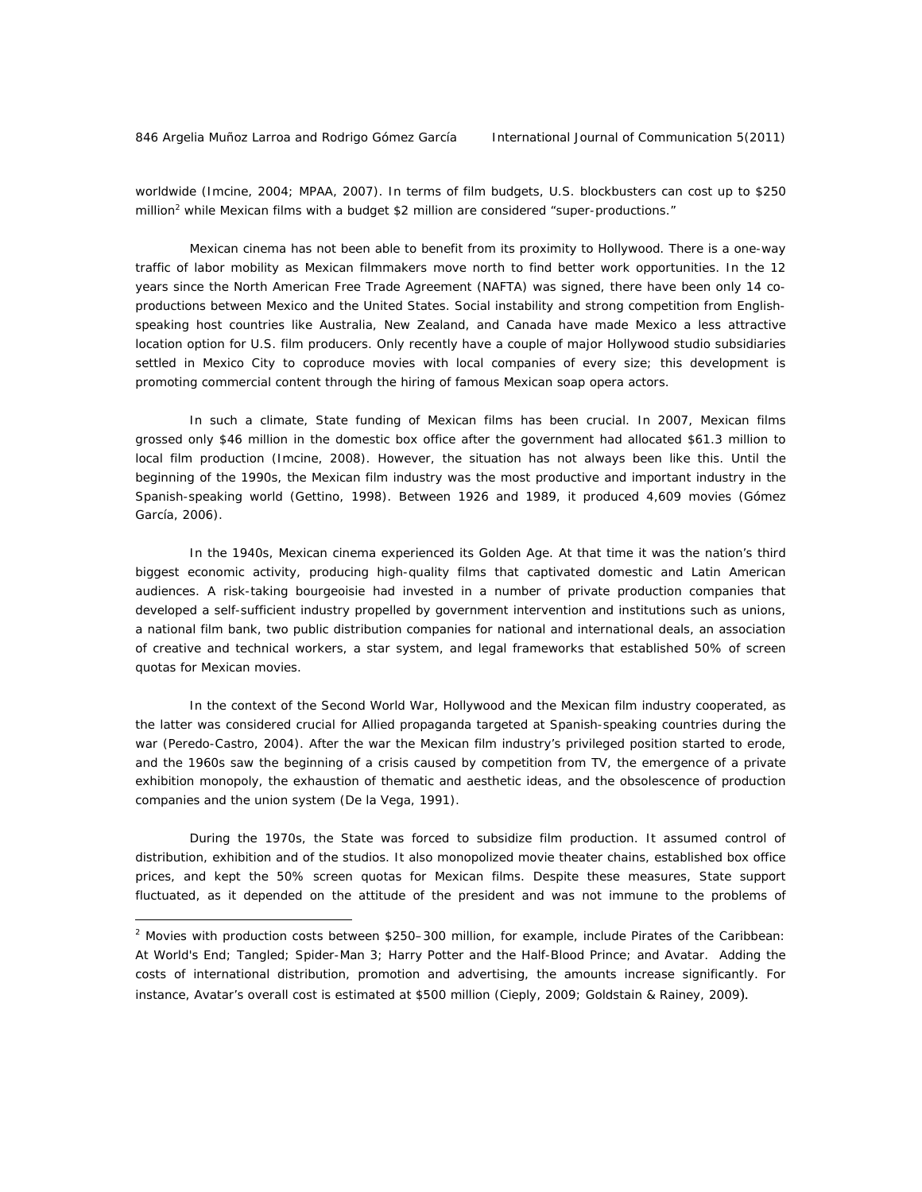$\overline{a}$ 

worldwide (Imcine, 2004; MPAA, 2007). In terms of film budgets, U.S. blockbusters can cost up to \$250 million<sup>2</sup> while Mexican films with a budget \$2 million are considered "super-productions."

 Mexican cinema has not been able to benefit from its proximity to Hollywood. There is a one-way traffic of labor mobility as Mexican filmmakers move north to find better work opportunities. In the 12 years since the North American Free Trade Agreement (NAFTA) was signed, there have been only 14 coproductions between Mexico and the United States. Social instability and strong competition from Englishspeaking host countries like Australia, New Zealand, and Canada have made Mexico a less attractive location option for U.S. film producers. Only recently have a couple of major Hollywood studio subsidiaries settled in Mexico City to coproduce movies with local companies of every size; this development is promoting commercial content through the hiring of famous Mexican soap opera actors.

 In such a climate, State funding of Mexican films has been crucial. In 2007, Mexican films grossed only \$46 million in the domestic box office after the government had allocated \$61.3 million to local film production (Imcine, 2008). However, the situation has not always been like this. Until the beginning of the 1990s, the Mexican film industry was the most productive and important industry in the Spanish-speaking world (Gettino, 1998). Between 1926 and 1989, it produced 4,609 movies (Gómez García, 2006).

 In the 1940s, Mexican cinema experienced its Golden Age. At that time it was the nation's third biggest economic activity, producing high-quality films that captivated domestic and Latin American audiences. A risk-taking bourgeoisie had invested in a number of private production companies that developed a self-sufficient industry propelled by government intervention and institutions such as unions, a national film bank, two public distribution companies for national and international deals, an association of creative and technical workers, a star system, and legal frameworks that established 50% of screen quotas for Mexican movies.

 In the context of the Second World War, Hollywood and the Mexican film industry cooperated, as the latter was considered crucial for Allied propaganda targeted at Spanish-speaking countries during the war (Peredo-Castro, 2004). After the war the Mexican film industry's privileged position started to erode, and the 1960s saw the beginning of a crisis caused by competition from TV, the emergence of a private exhibition monopoly, the exhaustion of thematic and aesthetic ideas, and the obsolescence of production companies and the union system (De la Vega, 1991).

 During the 1970s, the State was forced to subsidize film production. It assumed control of distribution, exhibition and of the studios. It also monopolized movie theater chains, established box office prices, and kept the 50% screen quotas for Mexican films. Despite these measures, State support fluctuated, as it depended on the attitude of the president and was not immune to the problems of

<sup>2</sup> Movies with production costs between \$250–300 million, for example, include *Pirates of the Caribbean: At World's End; Tangled; Spider-Man 3; Harry Potter and the Half-Blood Prince;* and *Avatar.* Adding the costs of international distribution, promotion and advertising, the amounts increase significantly. For instance, *Avatar's* overall cost is estimated at \$500 million (Cieply, 2009; Goldstain & Rainey, 2009).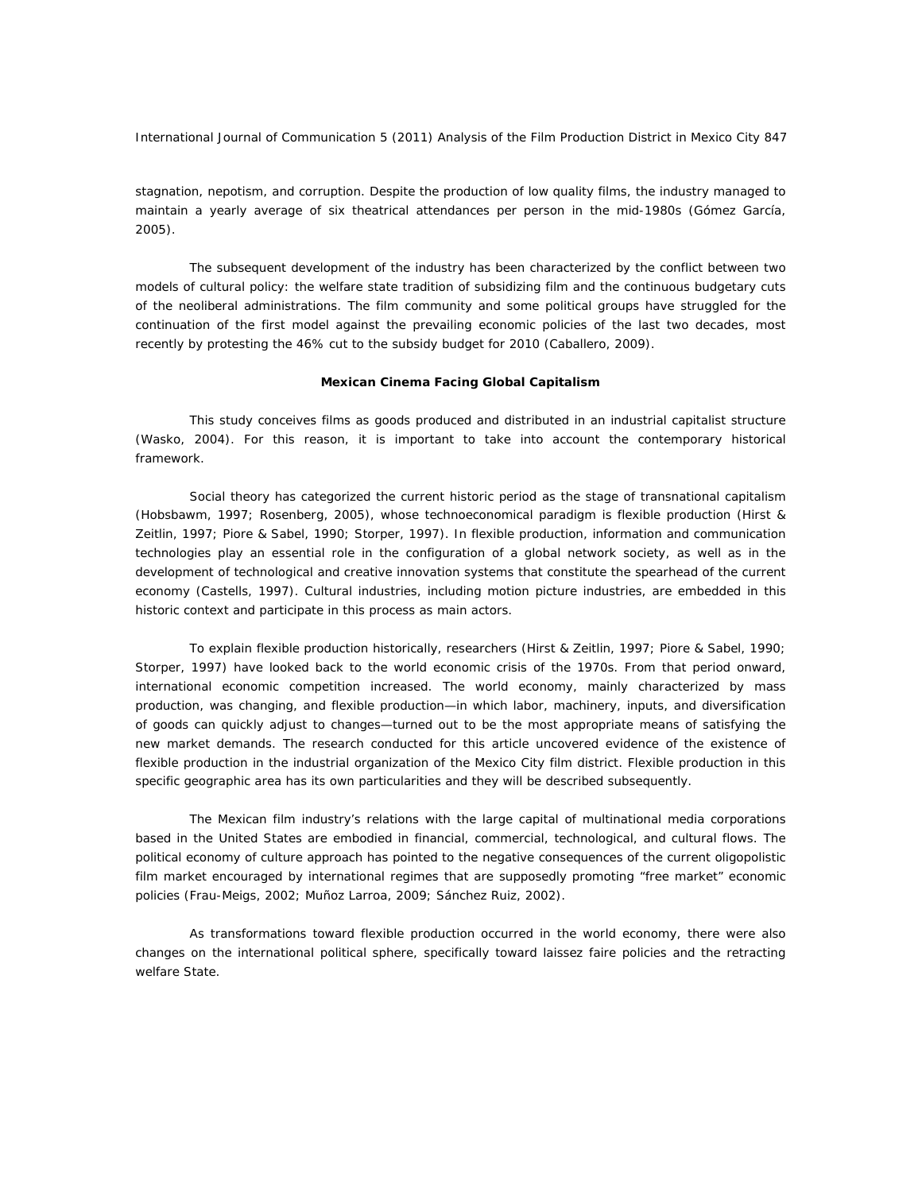stagnation, nepotism, and corruption. Despite the production of low quality films, the industry managed to maintain a yearly average of six theatrical attendances per person in the mid-1980s (Gómez García, 2005).

 The subsequent development of the industry has been characterized by the conflict between two models of cultural policy: the welfare state tradition of subsidizing film and the continuous budgetary cuts of the neoliberal administrations. The film community and some political groups have struggled for the continuation of the first model against the prevailing economic policies of the last two decades, most recently by protesting the 46% cut to the subsidy budget for 2010 (Caballero, 2009).

## **Mexican Cinema Facing Global Capitalism**

 This study conceives films as goods produced and distributed in an industrial capitalist structure (Wasko, 2004). For this reason, it is important to take into account the contemporary historical framework.

 Social theory has categorized the current historic period as the stage of transnational capitalism (Hobsbawm, 1997; Rosenberg, 2005), whose technoeconomical paradigm is *flexible production* (Hirst & Zeitlin, 1997; Piore & Sabel, 1990; Storper, 1997). In flexible production, information and communication technologies play an essential role in the configuration of a global network society, as well as in the development of technological and creative innovation systems that constitute the spearhead of the current economy (Castells, 1997). Cultural industries, including motion picture industries, are embedded in this historic context and participate in this process as main actors.

 To explain flexible production historically, researchers (Hirst & Zeitlin, 1997; Piore & Sabel, 1990; Storper, 1997) have looked back to the world economic crisis of the 1970s. From that period onward, international economic competition increased. The world economy, mainly characterized by mass production, was changing, and flexible production—in which labor, machinery, inputs, and diversification of goods can quickly adjust to changes—turned out to be the most appropriate means of satisfying the new market demands. The research conducted for this article uncovered evidence of the existence of flexible production in the industrial organization of the Mexico City film district. Flexible production in this specific geographic area has its own particularities and they will be described subsequently.

 The Mexican film industry's relations with the large capital of multinational media corporations based in the United States are embodied in financial, commercial, technological, and cultural flows. The political economy of culture approach has pointed to the negative consequences of the current oligopolistic film market encouraged by international regimes that are supposedly promoting "free market" economic policies (Frau-Meigs, 2002; Muñoz Larroa, 2009; Sánchez Ruiz, 2002).

 As transformations toward flexible production occurred in the world economy, there were also changes on the international political sphere, specifically toward laissez faire policies and the retracting welfare State.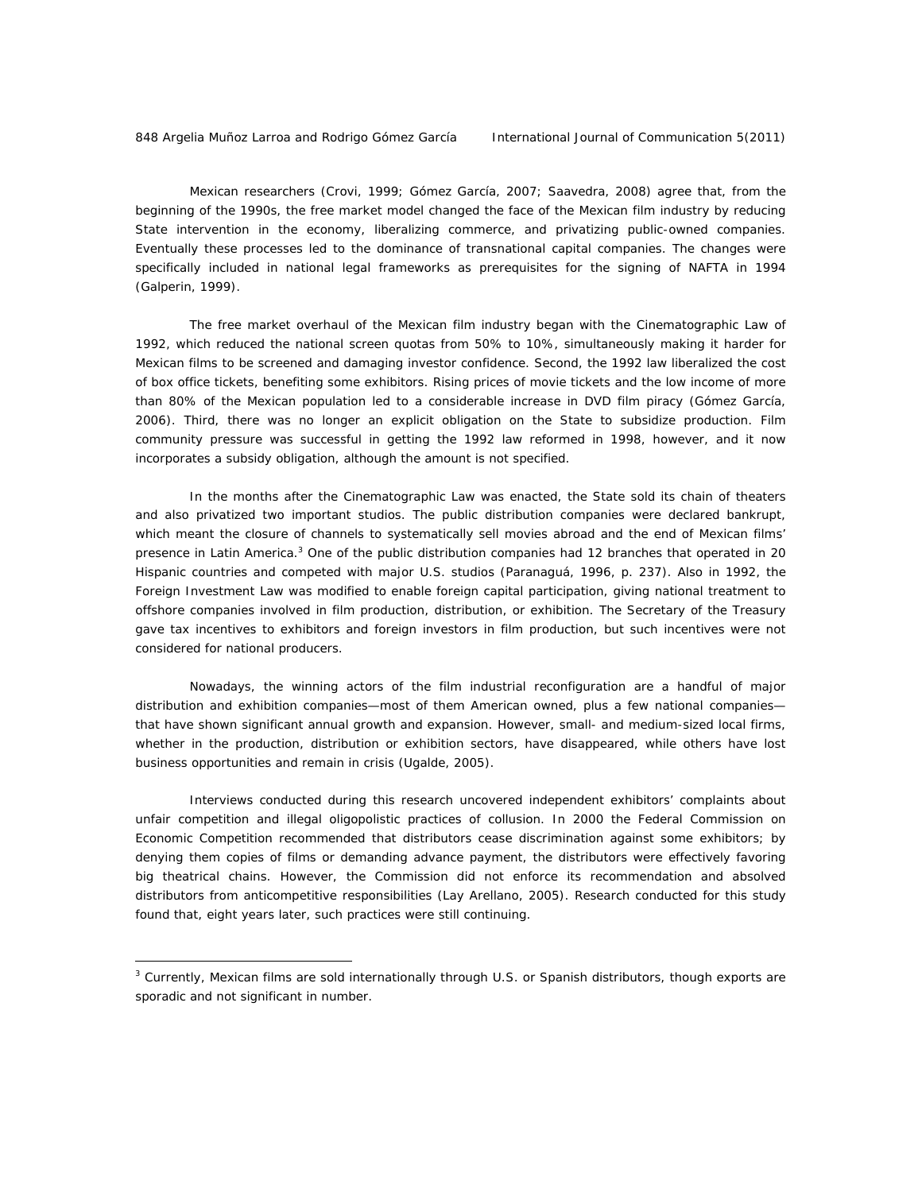$\overline{a}$ 

 Mexican researchers (Crovi, 1999; Gómez García, 2007; Saavedra, 2008) agree that, from the beginning of the 1990s, the free market model changed the face of the Mexican film industry by reducing State intervention in the economy, liberalizing commerce, and privatizing public-owned companies. Eventually these processes led to the dominance of transnational capital companies. The changes were specifically included in national legal frameworks as prerequisites for the signing of NAFTA in 1994 (Galperin, 1999).

 The free market overhaul of the Mexican film industry began with the Cinematographic Law of 1992, which reduced the national screen quotas from 50% to 10%, simultaneously making it harder for Mexican films to be screened and damaging investor confidence. Second, the 1992 law liberalized the cost of box office tickets, benefiting some exhibitors. Rising prices of movie tickets and the low income of more than 80% of the Mexican population led to a considerable increase in DVD film piracy (Gómez García, 2006). Third, there was no longer an explicit obligation on the State to subsidize production. Film community pressure was successful in getting the 1992 law reformed in 1998, however, and it now incorporates a subsidy obligation, although the amount is not specified.

 In the months after the Cinematographic Law was enacted, the State sold its chain of theaters and also privatized two important studios. The public distribution companies were declared bankrupt, which meant the closure of channels to systematically sell movies abroad and the end of Mexican films' presence in Latin America.<sup>3</sup> One of the public distribution companies had 12 branches that operated in 20 Hispanic countries and competed with major U.S. studios (Paranaguá, 1996, p. 237). Also in 1992, the Foreign Investment Law was modified to enable foreign capital participation, giving national treatment to offshore companies involved in film production, distribution, or exhibition. The Secretary of the Treasury gave tax incentives to exhibitors and foreign investors in film production, but such incentives were not considered for national producers.

 Nowadays, the winning actors of the film industrial reconfiguration are a handful of major distribution and exhibition companies—most of them American owned, plus a few national companies that have shown significant annual growth and expansion. However, small- and medium-sized local firms, whether in the production, distribution or exhibition sectors, have disappeared, while others have lost business opportunities and remain in crisis (Ugalde, 2005).

 Interviews conducted during this research uncovered independent exhibitors' complaints about unfair competition and illegal oligopolistic practices of collusion. In 2000 the Federal Commission on Economic Competition recommended that distributors cease discrimination against some exhibitors; by denying them copies of films or demanding advance payment, the distributors were effectively favoring big theatrical chains. However, the Commission did not enforce its recommendation and absolved distributors from anticompetitive responsibilities (Lay Arellano, 2005). Research conducted for this study found that, eight years later, such practices were still continuing.

<sup>&</sup>lt;sup>3</sup> Currently, Mexican films are sold internationally through U.S. or Spanish distributors, though exports are sporadic and not significant in number.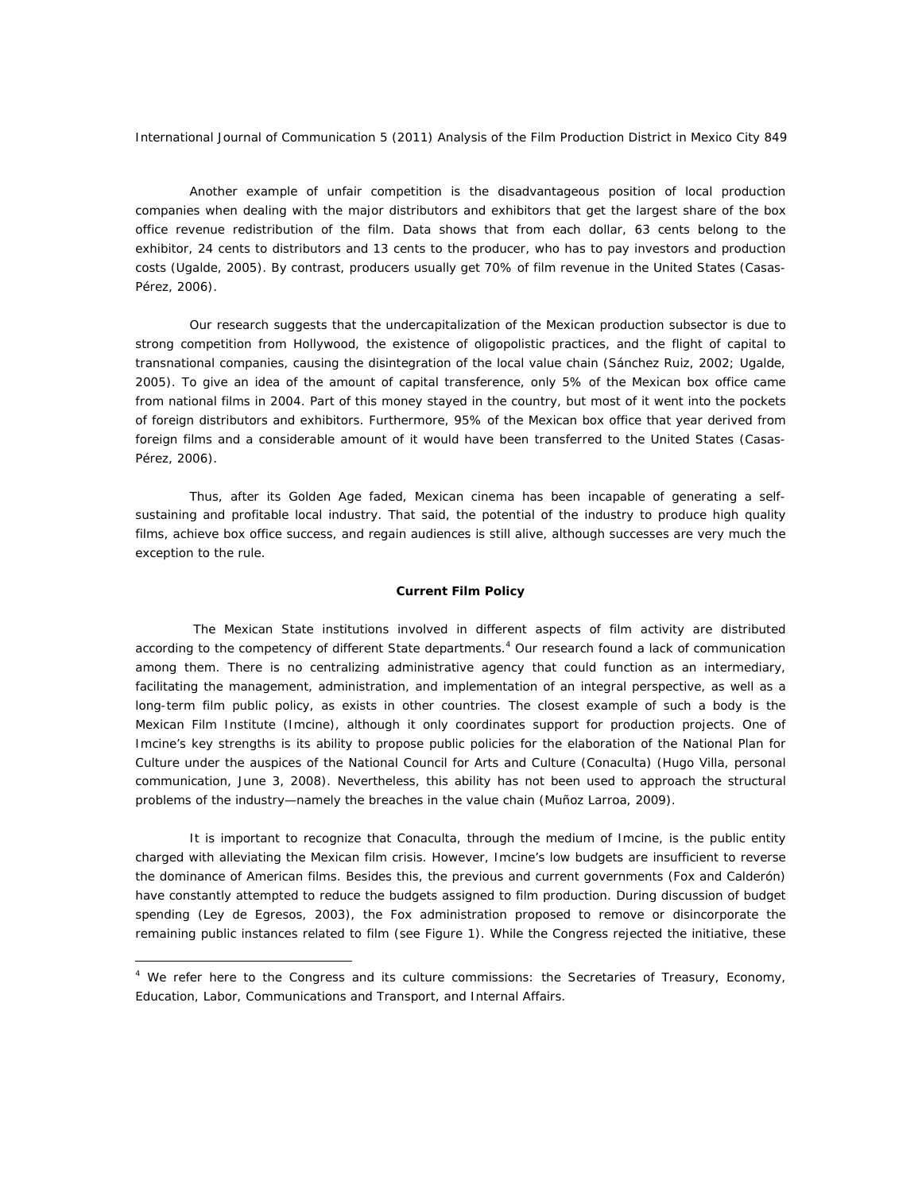Another example of unfair competition is the disadvantageous position of local production companies when dealing with the major distributors and exhibitors that get the largest share of the box office revenue redistribution of the film. Data shows that from each dollar, 63 cents belong to the exhibitor, 24 cents to distributors and 13 cents to the producer, who has to pay investors and production costs (Ugalde, 2005). By contrast, producers usually get 70% of film revenue in the United States (Casas-Pérez, 2006).

 Our research suggests that the undercapitalization of the Mexican production subsector is due to strong competition from Hollywood, the existence of oligopolistic practices, and the flight of capital to transnational companies, causing the disintegration of the local value chain (Sánchez Ruiz, 2002; Ugalde, 2005). To give an idea of the amount of capital transference, only 5% of the Mexican box office came from national films in 2004. Part of this money stayed in the country, but most of it went into the pockets of foreign distributors and exhibitors. Furthermore, 95% of the Mexican box office that year derived from foreign films and a considerable amount of it would have been transferred to the United States (Casas-Pérez, 2006).

 Thus, after its Golden Age faded, Mexican cinema has been incapable of generating a selfsustaining and profitable local industry. That said, the potential of the industry to produce high quality films, achieve box office success, and regain audiences is still alive, although successes are very much the exception to the rule.

#### **Current Film Policy**

The Mexican State institutions involved in different aspects of film activity are distributed according to the competency of different State departments.<sup>4</sup> Our research found a lack of communication among them. There is no centralizing administrative agency that could function as an intermediary, facilitating the management, administration, and implementation of an integral perspective, as well as a long-term film public policy, as exists in other countries. The closest example of such a body is the Mexican Film Institute (Imcine), although it only coordinates support for production projects. One of Imcine's key strengths is its ability to propose public policies for the elaboration of the National Plan for Culture under the auspices of the National Council for Arts and Culture (Conaculta) (Hugo Villa, personal communication, June 3, 2008). Nevertheless, this ability has not been used to approach the structural problems of the industry—namely the breaches in the value chain (Muñoz Larroa, 2009).

 It is important to recognize that Conaculta, through the medium of Imcine, is the public entity charged with alleviating the Mexican film crisis. However, Imcine's low budgets are insufficient to reverse the dominance of American films. Besides this, the previous and current governments (Fox and Calderón) have constantly attempted to reduce the budgets assigned to film production. During discussion of budget spending (Ley de Egresos, 2003), the Fox administration proposed to remove or disincorporate the remaining public instances related to film (see Figure 1). While the Congress rejected the initiative, these

 $\overline{a}$ 

<sup>&</sup>lt;sup>4</sup> We refer here to the Congress and its culture commissions: the Secretaries of Treasury, Economy, Education, Labor, Communications and Transport, and Internal Affairs.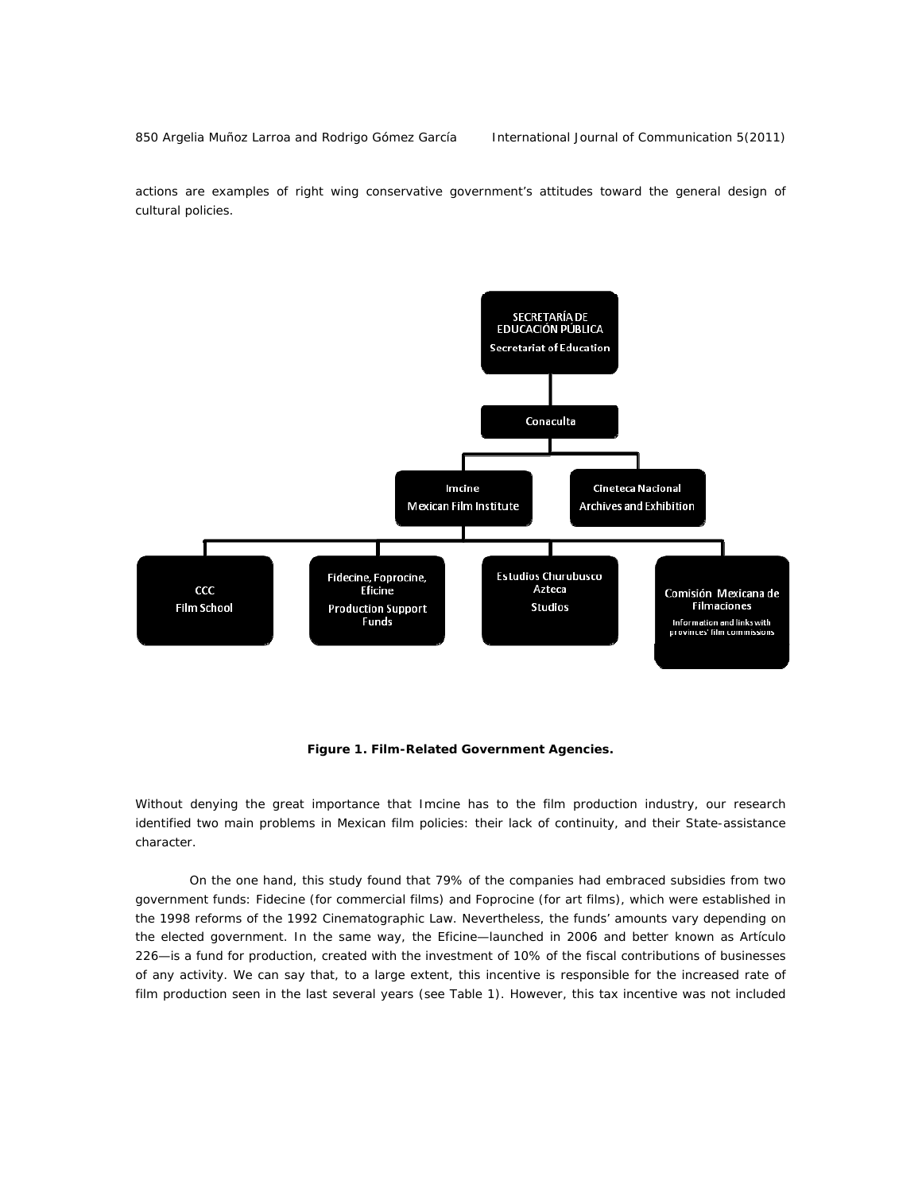850 Argelia Muñoz Larroa and Rodrigo Gómez García International Journal of Communication 5(2011)

actions are examples of right wing conservative government's attitudes toward the general design of cultural policies.



*Figure 1. Film-Related Government Agencies.* 

Without denying the great importance that Imcine has to the film production industry, our research identified two main problems in Mexican film policies: their lack of continuity, and their State-assistance character.

 On the one hand, this study found that 79% of the companies had embraced subsidies from two government funds: Fidecine (for commercial films) and Foprocine (for art films), which were established in the 1998 reforms of the 1992 Cinematographic Law. Nevertheless, the funds' amounts vary depending on the elected government. In the same way, the Eficine—launched in 2006 and better known as *Artículo 226*—is a fund for production, created with the investment of 10% of the fiscal contributions of businesses of any activity. We can say that, to a large extent, this incentive is responsible for the increased rate of film production seen in the last several years (see Table 1). However, this tax incentive was not included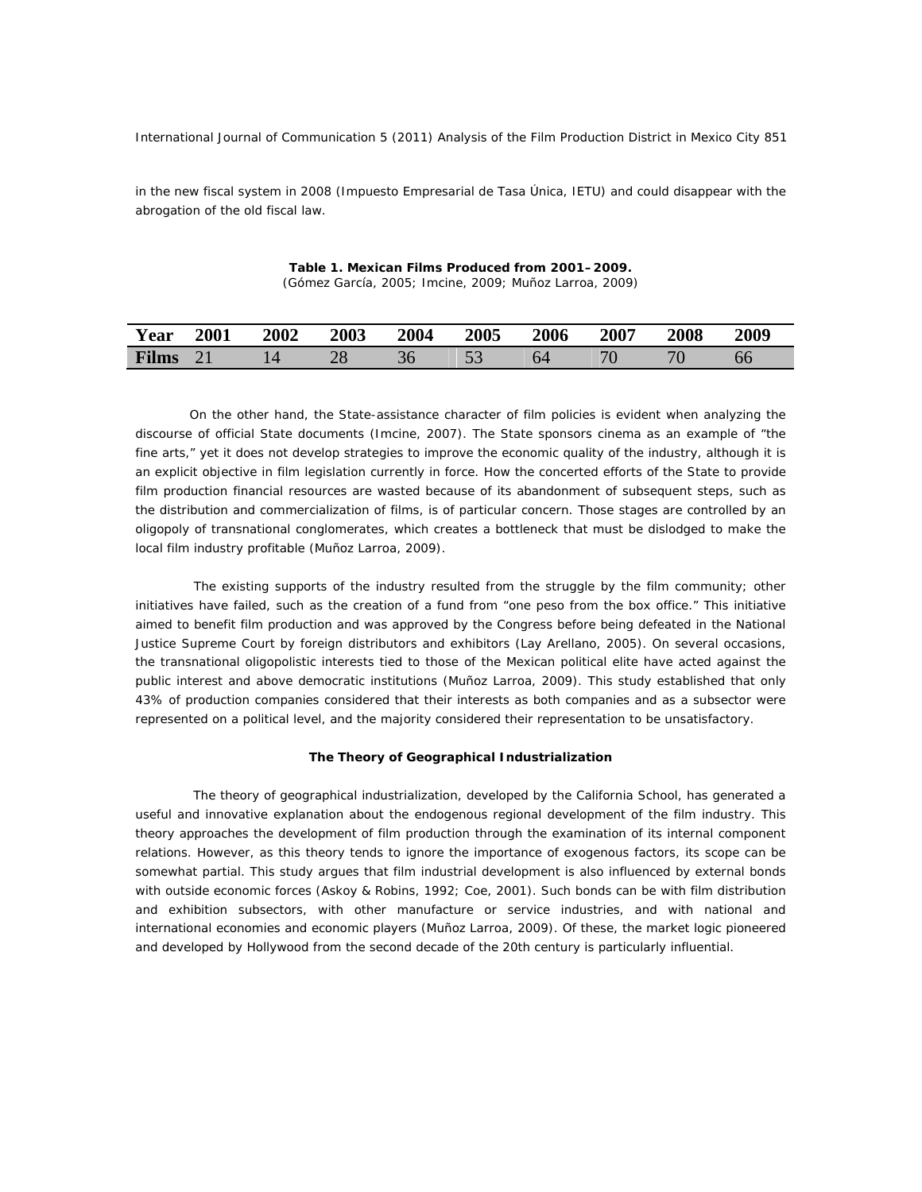in the new fiscal system in 2008 (Impuesto Empresarial de Tasa Única, IETU) and could disappear with the abrogation of the old fiscal law.

| Table 1. Mexican Films Produced from 2001–2009.        |  |  |  |
|--------------------------------------------------------|--|--|--|
| (Gómez García, 2005; Imcine, 2009; Muñoz Larroa, 2009) |  |  |  |

| Year         | <b>2001</b> | <b>2002</b> | 2003 | 2004 | <b>2005</b> | 2006 | 2007 | 2008 | 2009 |
|--------------|-------------|-------------|------|------|-------------|------|------|------|------|
| <b>Films</b> |             |             | 40   |      | ັ           |      |      | 76   | DO   |

On the other hand, the State-assistance character of film policies is evident when analyzing the discourse of official State documents (Imcine, 2007). The State sponsors cinema as an example of "the fine arts," yet it does not develop strategies to improve the economic quality of the industry, although it is an explicit objective in film legislation currently in force. How the concerted efforts of the State to provide film production financial resources are wasted because of its abandonment of subsequent steps, such as the distribution and commercialization of films, is of particular concern. Those stages are controlled by an oligopoly of transnational conglomerates, which creates a bottleneck that must be dislodged to make the local film industry profitable (Muñoz Larroa, 2009).

 The existing supports of the industry resulted from the struggle by the film community; other initiatives have failed, such as the creation of a fund from "one *peso* from the box office." This initiative aimed to benefit film production and was approved by the Congress before being defeated in the National Justice Supreme Court by foreign distributors and exhibitors (Lay Arellano, 2005). On several occasions, the transnational oligopolistic interests tied to those of the Mexican political elite have acted against the public interest and above democratic institutions (Muñoz Larroa, 2009). This study established that only 43% of production companies considered that their interests as both companies and as a subsector were represented on a political level, and the majority considered their representation to be unsatisfactory.

#### **The Theory of Geographical Industrialization**

The theory of geographical industrialization, developed by the California School, has generated a useful and innovative explanation about the endogenous regional development of the film industry. This theory approaches the development of film production through the examination of its internal component relations. However, as this theory tends to ignore the importance of exogenous factors, its scope can be somewhat partial. This study argues that film industrial development is also influenced by external bonds with outside economic forces (Askoy & Robins, 1992; Coe, 2001). Such bonds can be with film distribution and exhibition subsectors, with other manufacture or service industries, and with national and international economies and economic players (Muñoz Larroa, 2009). Of these, the market logic pioneered and developed by Hollywood from the second decade of the 20th century is particularly influential.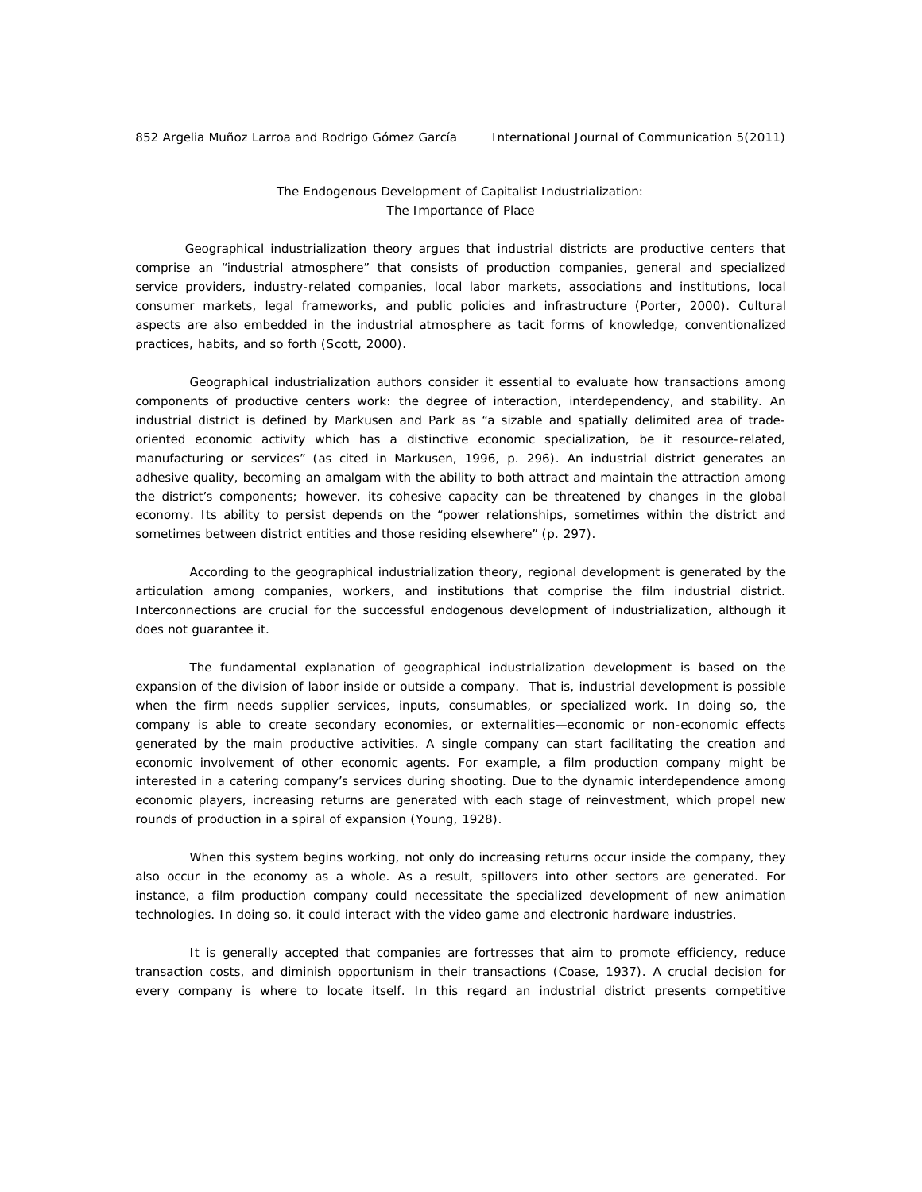## *The Endogenous Development of Capitalist Industrialization: The Importance of Place*

Geographical industrialization theory argues that industrial districts are productive centers that comprise an "industrial atmosphere" that consists of production companies, general and specialized service providers, industry-related companies, local labor markets, associations and institutions, local consumer markets, legal frameworks, and public policies and infrastructure (Porter, 2000). Cultural aspects are also embedded in the industrial atmosphere as tacit forms of knowledge, conventionalized practices, habits, and so forth (Scott, 2000).

 Geographical industrialization authors consider it essential to evaluate how transactions among components of productive centers work: the degree of interaction, interdependency, and stability. An industrial district is defined by Markusen and Park as "a sizable and spatially delimited area of tradeoriented economic activity which has a distinctive economic specialization, be it resource-related, manufacturing or services" (as cited in Markusen, 1996, p. 296). An industrial district generates an adhesive quality, becoming an amalgam with the ability to both attract and maintain the attraction among the district's components; however, its cohesive capacity can be threatened by changes in the global economy. Its ability to persist depends on the "power relationships, sometimes within the district and sometimes between district entities and those residing elsewhere" (p. 297).

 According to the geographical industrialization theory, regional development is generated by the articulation among companies, workers, and institutions that comprise the film industrial district. Interconnections are crucial for the successful endogenous development of industrialization, although it does not guarantee it.

 The fundamental explanation of geographical industrialization development is based on the expansion of the division of labor inside or outside a company. That is, industrial development is possible when the firm needs supplier services, inputs, consumables, or specialized work. In doing so, the company is able to create secondary economies, or *externalities*—economic or non-economic effects generated by the main productive activities. A single company can start facilitating the creation and economic involvement of other economic agents. For example, a film production company might be interested in a catering company's services during shooting. Due to the dynamic interdependence among economic players, increasing returns are generated with each stage of reinvestment, which propel new rounds of production in a spiral of expansion (Young, 1928).

 When this system begins working, not only do increasing returns occur inside the company, they also occur in the economy as a whole. As a result, spillovers into other sectors are generated. For instance, a film production company could necessitate the specialized development of new animation technologies. In doing so, it could interact with the video game and electronic hardware industries.

 It is generally accepted that companies are fortresses that aim to promote efficiency, reduce transaction costs, and diminish opportunism in their transactions (Coase, 1937). A crucial decision for every company is where to locate itself. In this regard an industrial district presents competitive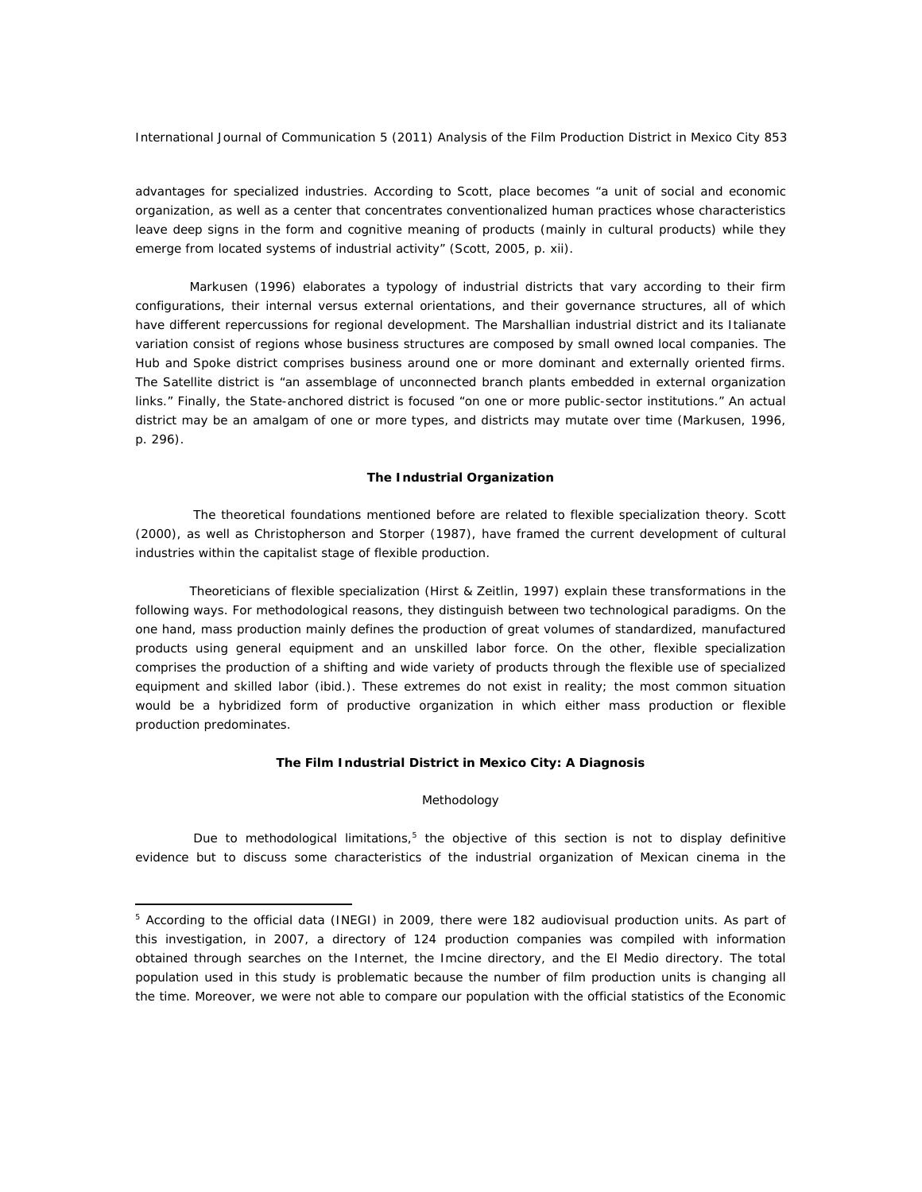advantages for specialized industries. According to Scott, place becomes "a unit of social and economic organization, as well as a center that concentrates conventionalized human practices whose characteristics leave deep signs in the form and cognitive meaning of products (mainly in cultural products) while they emerge from located systems of industrial activity" (Scott, 2005, p. xii).

 Markusen (1996) elaborates a typology of industrial districts that vary according to their firm configurations, their internal versus external orientations, and their governance structures, all of which have different repercussions for regional development. The Marshallian industrial district and its Italianate variation consist of regions whose business structures are composed by small owned local companies. The Hub and Spoke district comprises business around one or more dominant and externally oriented firms. The Satellite district is "an assemblage of unconnected branch plants embedded in external organization links." Finally, the State-anchored district is focused "on one or more public-sector institutions." An actual district may be an amalgam of one or more types, and districts may mutate over time (Markusen, 1996, p. 296).

#### **The Industrial Organization**

The theoretical foundations mentioned before are related to flexible specialization theory. Scott (2000), as well as Christopherson and Storper (1987), have framed the current development of cultural industries within the capitalist stage of flexible production.

 Theoreticians of flexible specialization (Hirst & Zeitlin, 1997) explain these transformations in the following ways. For methodological reasons, they distinguish between two technological paradigms. On the one hand, *mass production* mainly defines the production of great volumes of standardized, manufactured products using general equipment and an unskilled labor force. On the other, *flexible specialization* comprises the production of a shifting and wide variety of products through the flexible use of specialized equipment and skilled labor (ibid.). These extremes do not exist in reality; the most common situation would be a hybridized form of productive organization in which either mass production or flexible production predominates.

## **The Film Industrial District in Mexico City: A Diagnosis**

#### *Methodology*

Due to methodological limitations, $5$  the objective of this section is not to display definitive evidence but to discuss some characteristics of the industrial organization of Mexican cinema in the

 $\overline{a}$ 

<sup>&</sup>lt;sup>5</sup> According to the official data (INEGI) in 2009, there were 182 audiovisual production units. As part of this investigation, in 2007, a directory of 124 production companies was compiled with information obtained through searches on the Internet, the Imcine directory, and the El Medio directory. The total population used in this study is problematic because the number of film production units is changing all the time. Moreover, we were not able to compare our population with the official statistics of the Economic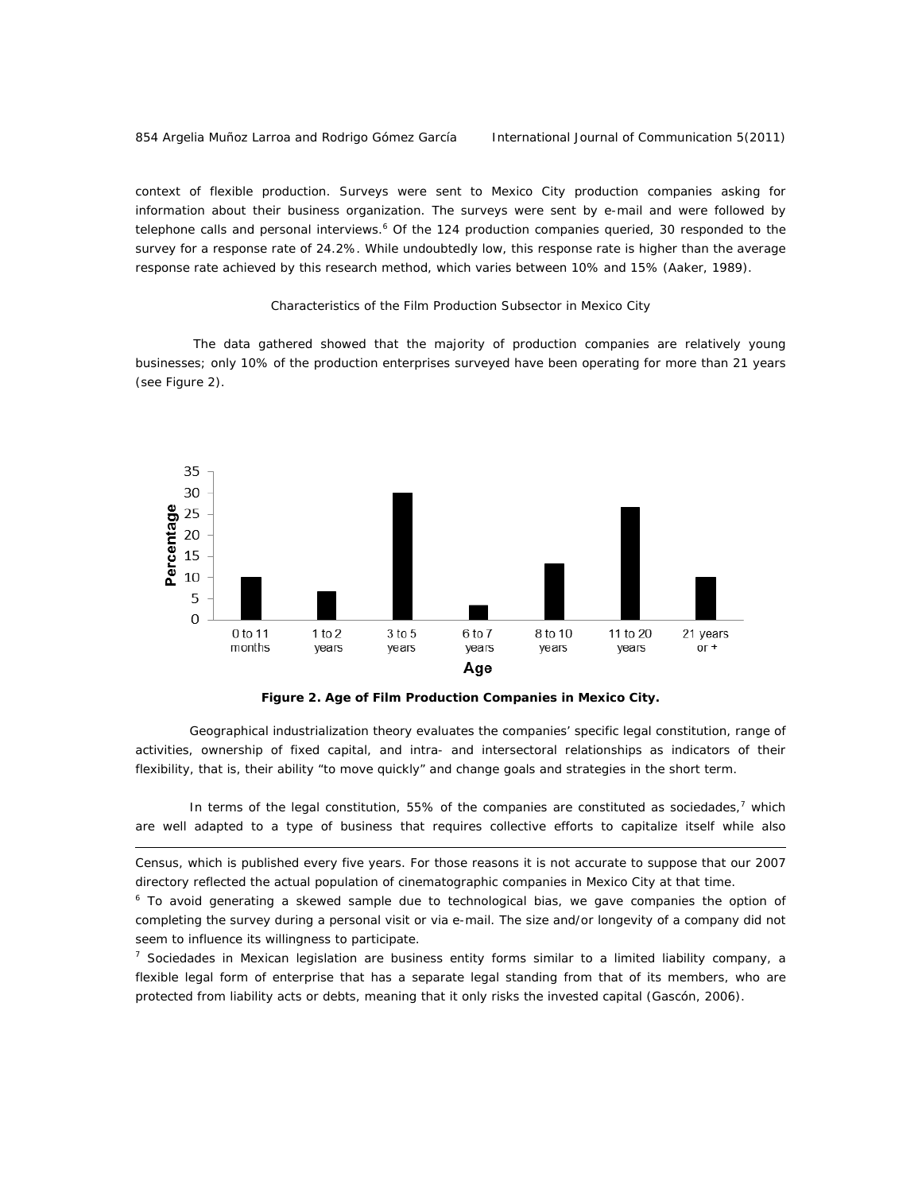#### 854 Argelia Muñoz Larroa and Rodrigo Gómez García International Journal of Communication 5(2011)

 $\overline{a}$ 

context of flexible production. Surveys were sent to Mexico City production companies asking for information about their business organization. The surveys were sent by e-mail and were followed by telephone calls and personal interviews.<sup>6</sup> Of the 124 production companies queried, 30 responded to the survey for a response rate of 24.2%. While undoubtedly low, this response rate is higher than the average response rate achieved by this research method, which varies between 10% and 15% (Aaker, 1989).

## *Characteristics of the Film Production Subsector in Mexico City*

The data gathered showed that the majority of production companies are relatively young businesses; only 10% of the production enterprises surveyed have been operating for more than 21 years (see Figure 2).



*Figure 2. Age of Film Production Companies in Mexico City.*

Geographical industrialization theory evaluates the companies' specific legal constitution, range of activities, ownership of fixed capital, and intra- and intersectoral relationships as indicators of their flexibility, that is, their ability "to move quickly" and change goals and strategies in the short term.

In terms of the legal constitution, 55% of the companies are constituted as *sociedades*,<sup>7</sup> which are well adapted to a type of business that requires collective efforts to capitalize itself while also

Census, which is published every five years. For those reasons it is not accurate to suppose that our 2007 directory reflected the actual population of cinematographic companies in Mexico City at that time.

<sup>6</sup> To avoid generating a skewed sample due to technological bias, we gave companies the option of completing the survey during a personal visit or via e-mail. The size and/or longevity of a company did not seem to influence its willingness to participate.

<sup>7</sup> *Sociedades* in Mexican legislation are business entity forms similar to a limited liability company, a flexible legal form of enterprise that has a separate legal standing from that of its members, who are protected from liability acts or debts, meaning that it only risks the invested capital (Gascón, 2006).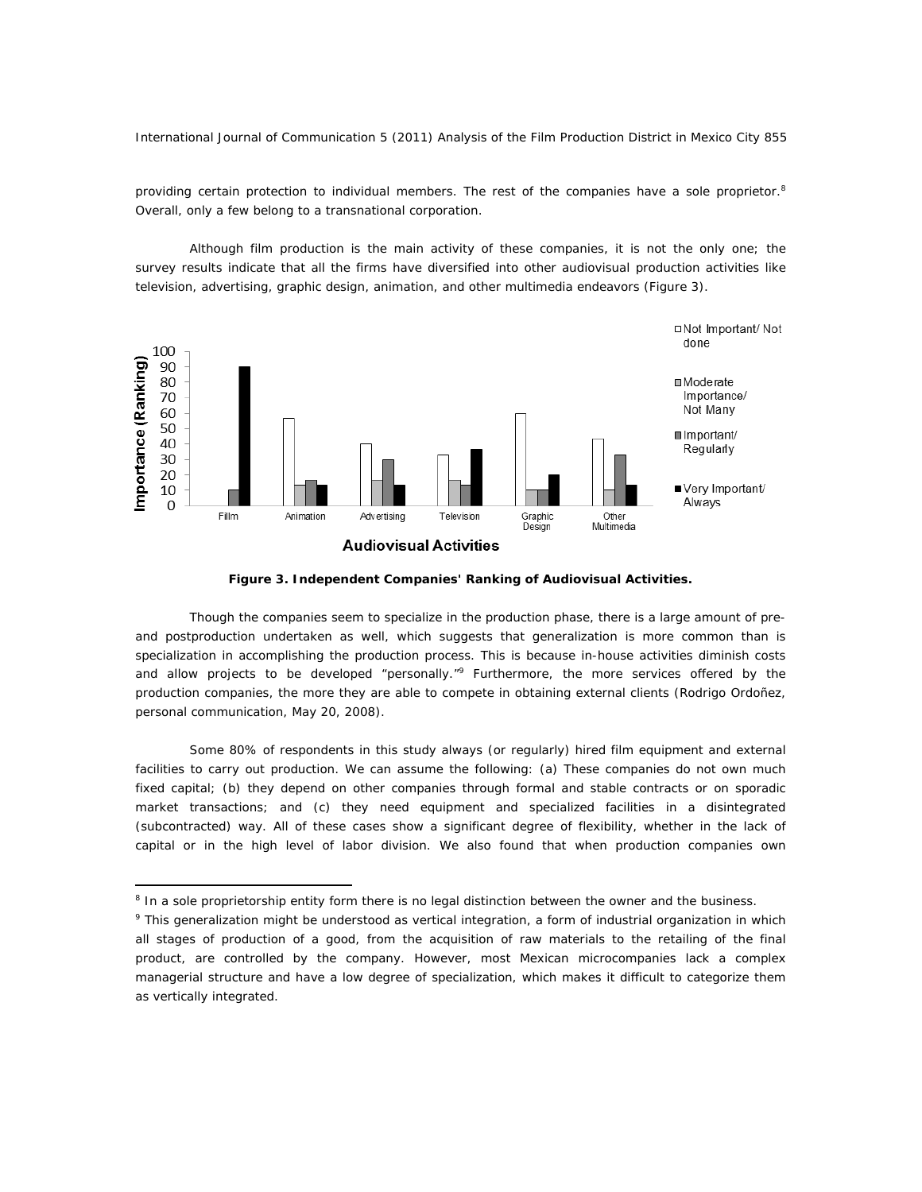providing certain protection to individual members. The rest of the companies have a sole proprietor.<sup>8</sup> Overall, only a few belong to a transnational corporation.

 Although film production is the main activity of these companies, it is not the only one; the survey results indicate that all the firms have diversified into other audiovisual production activities like television, advertising, graphic design, animation, and other multimedia endeavors (Figure 3).





Though the companies seem to specialize in the production phase, there is a large amount of preand postproduction undertaken as well, which suggests that generalization is more common than is specialization in accomplishing the production process. This is because in-house activities diminish costs and allow projects to be developed "personally."<sup>9</sup> Furthermore, the more services offered by the production companies, the more they are able to compete in obtaining external clients (Rodrigo Ordoñez, personal communication, May 20, 2008).

 Some 80% of respondents in this study always (or regularly) hired film equipment and external facilities to carry out production. We can assume the following: (a) These companies do not own much fixed capital; (b) they depend on other companies through formal and stable contracts or on sporadic market transactions; and (c) they need equipment and specialized facilities in a disintegrated (subcontracted) way. All of these cases show a significant degree of flexibility, whether in the lack of capital or in the high level of labor division. We also found that when production companies own

 $\overline{a}$ 

<sup>&</sup>lt;sup>8</sup> In a sole proprietorship entity form there is no legal distinction between the owner and the business.

<sup>&</sup>lt;sup>9</sup> This generalization might be understood as vertical integration, a form of industrial organization in which all stages of production of a good, from the acquisition of raw materials to the retailing of the final product, are controlled by the company. However, most Mexican microcompanies lack a complex managerial structure and have a low degree of specialization, which makes it difficult to categorize them as vertically integrated.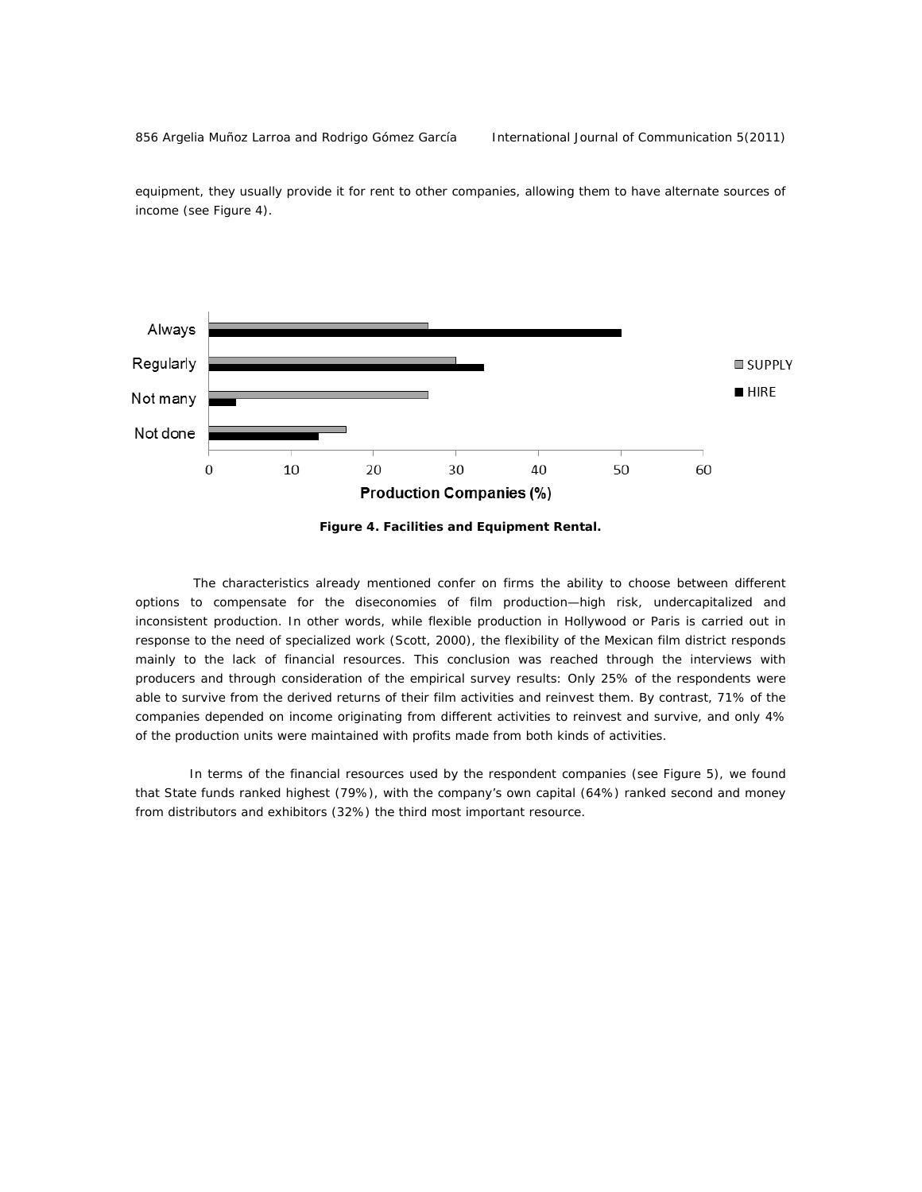856 Argelia Muñoz Larroa and Rodrigo Gómez García linternational Journal of Communication 5(2011)



equipment, they usually provide it for rent to other companies, allowing them to have alternate sources of income (see Figure 4).

*Figure 4. Facilities and Equipment Rental.* 

The characteristics already mentioned confer on firms the ability to choose between different options to compensate for the diseconomies of film production—high risk, undercapitalized and inconsistent production*.* In other words, while flexible production in Hollywood or Paris is carried out in response to the need of specialized work (Scott, 2000), the flexibility of the Mexican film district responds mainly to the lack of financial resources. This conclusion was reached through the interviews with producers and through consideration of the empirical survey results: Only 25% of the respondents were able to survive from the derived returns of their film activities and reinvest them. By contrast, 71% of the companies depended on income originating from different activities to reinvest and survive, and only 4% of the production units were maintained with profits made from both kinds of activities.

 In terms of the financial resources used by the respondent companies (see Figure 5), we found that State funds ranked highest (79%), with the company's own capital (64%) ranked second and money from distributors and exhibitors (32%) the third most important resource.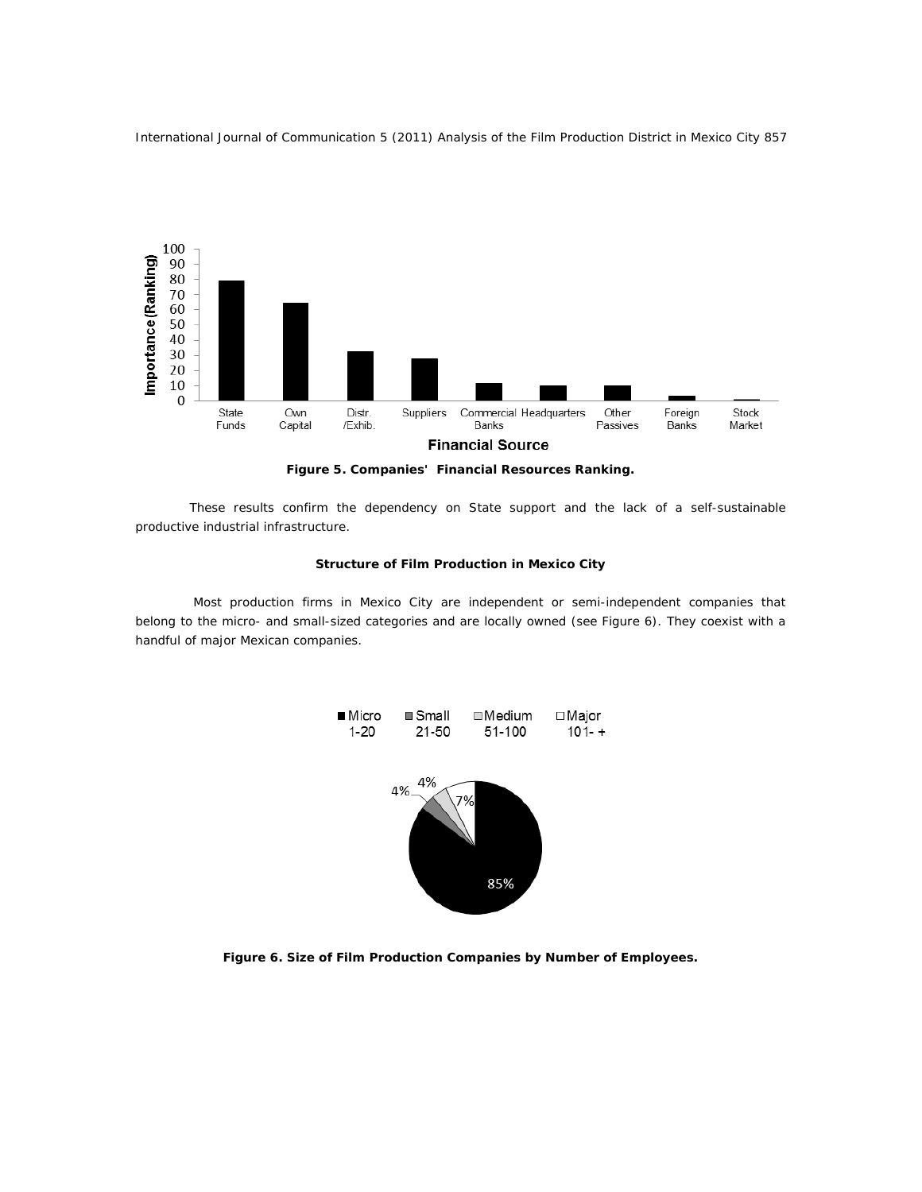

*Figure 5. Companies' Financial Resources Ranking.* 

These results confirm the dependency on State support and the lack of a self-sustainable productive industrial infrastructure.

## **Structure of Film Production in Mexico City**

Most production firms in Mexico City are independent or semi-independent companies that belong to the micro- and small-sized categories and are locally owned (see Figure 6). They coexist with a handful of major Mexican companies.



*Figure 6. Size of Film Production Companies by Number of Employees.*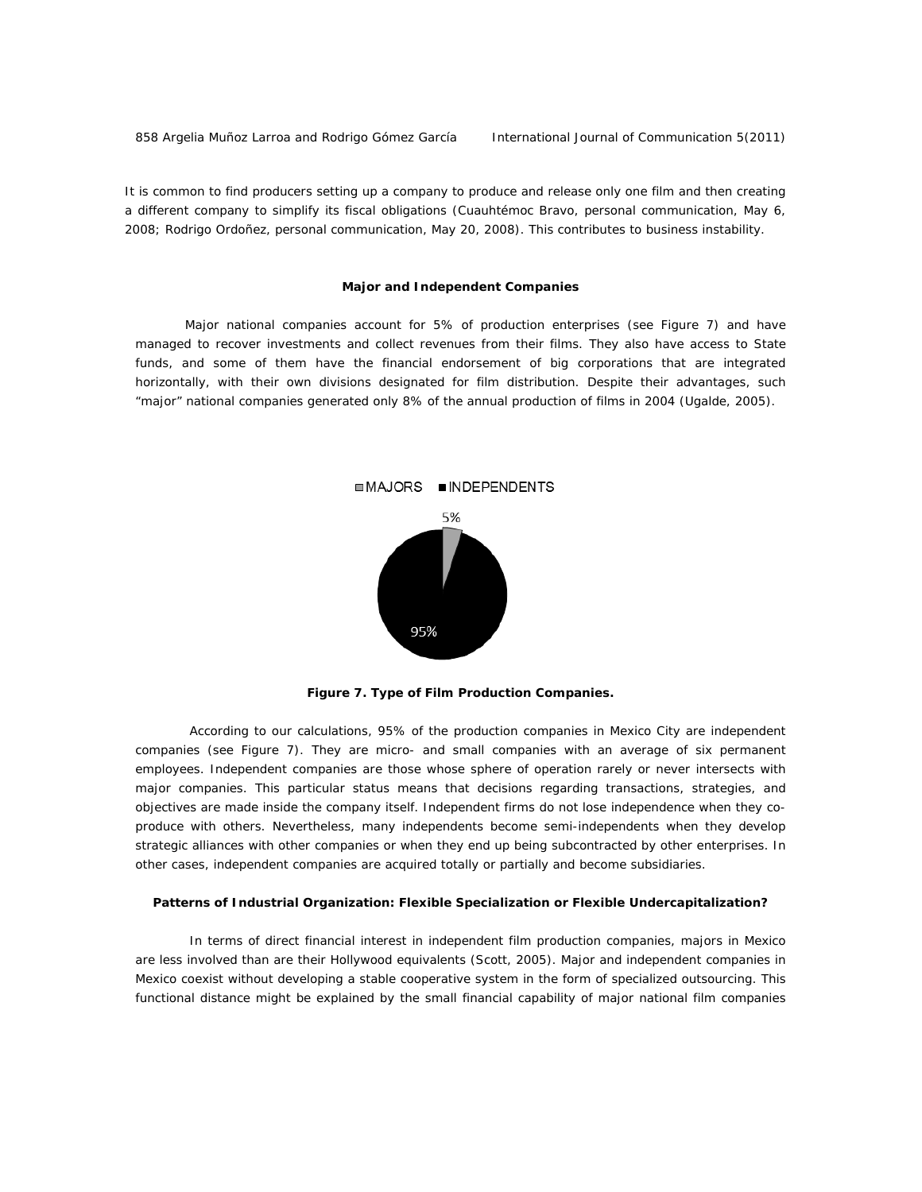858 Argelia Muñoz Larroa and Rodrigo Gómez García International Journal of Communication 5(2011)

It is common to find producers setting up a company to produce and release only one film and then creating a different company to simplify its fiscal obligations (Cuauhtémoc Bravo, personal communication, May 6, 2008; Rodrigo Ordoñez, personal communication, May 20, 2008). This contributes to business instability.

#### **Major and Independent Companies**

Major national companies account for 5% of production enterprises (see Figure 7) and have managed to recover investments and collect revenues from their films. They also have access to State funds, and some of them have the financial endorsement of big corporations that are integrated horizontally, with their own divisions designated for film distribution. Despite their advantages, such "major" national companies generated only 8% of the annual production of films in 2004 (Ugalde, 2005).



*Figure 7. Type of Film Production Companies.* 

According to our calculations, 95% of the production companies in Mexico City are independent companies (see Figure 7). They are micro- and small companies with an average of six permanent employees. Independent companies are those whose sphere of operation rarely or never intersects with major companies. This particular status means that decisions regarding transactions, strategies, and objectives are made inside the company itself. Independent firms do not lose independence when they coproduce with others. Nevertheless, many independents become semi-independents when they develop strategic alliances with other companies or when they end up being subcontracted by other enterprises. In other cases, independent companies are acquired totally or partially and become subsidiaries.

#### **Patterns of Industrial Organization: Flexible Specialization or Flexible Undercapitalization?**

In terms of direct financial interest in independent film production companies, majors in Mexico are less involved than are their Hollywood equivalents (Scott, 2005). Major and independent companies in Mexico coexist without developing a stable cooperative system in the form of specialized outsourcing. This functional distance might be explained by the small financial capability of major national film companies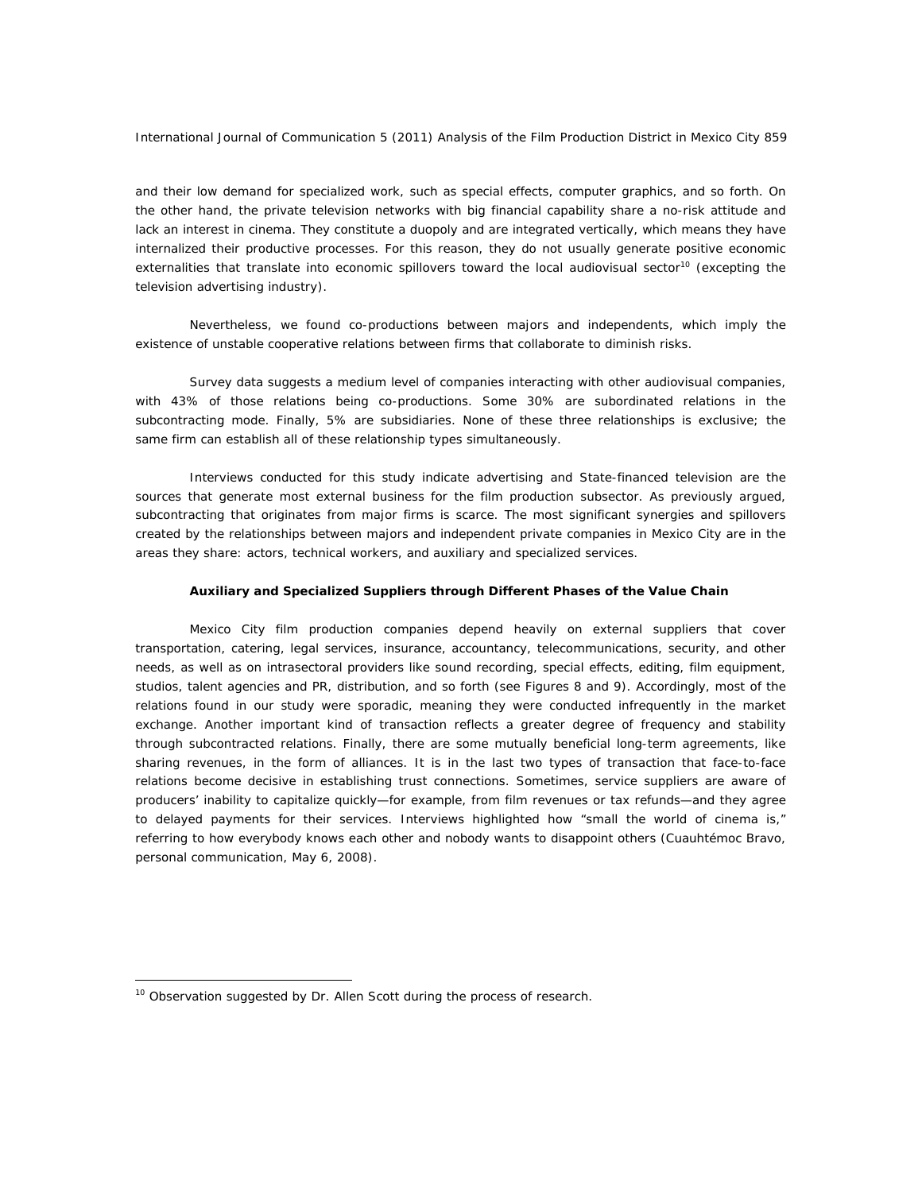and their low demand for specialized work, such as special effects, computer graphics, and so forth. On the other hand, the private television networks with big financial capability share a no-risk attitude and lack an interest in cinema. They constitute a duopoly and are integrated vertically, which means they have internalized their productive processes. For this reason, they do not usually generate positive economic externalities that translate into economic spillovers toward the local audiovisual sector<sup>10</sup> (excepting the television advertising industry).

Nevertheless, we found co-productions between majors and independents, which imply the existence of unstable cooperative relations between firms that collaborate to diminish risks.

Survey data suggests a medium level of companies interacting with other audiovisual companies, with 43% of those relations being co-productions. Some 30% are subordinated relations in the subcontracting mode. Finally, 5% are subsidiaries. None of these three relationships is exclusive; the same firm can establish all of these relationship types simultaneously.

Interviews conducted for this study indicate advertising and State-financed television are the sources that generate most external business for the film production subsector. As previously argued, subcontracting that originates from major firms is scarce. The most significant synergies and spillovers created by the relationships between majors and independent private companies in Mexico City are in the areas they share: actors, technical workers, and auxiliary and specialized services.

#### **Auxiliary and Specialized Suppliers through Different Phases of the Value Chain**

Mexico City film production companies depend heavily on external suppliers that cover transportation, catering, legal services, insurance, accountancy, telecommunications, security, and other needs, as well as on intrasectoral providers like sound recording, special effects, editing, film equipment, studios, talent agencies and PR, distribution, and so forth (see Figures 8 and 9). Accordingly, most of the relations found in our study were sporadic, meaning they were conducted infrequently in the market exchange. Another important kind of transaction reflects a greater degree of frequency and stability through subcontracted relations*.* Finally, there are some mutually beneficial long-term agreements, like sharing revenues, in the form of alliance*s*. It is in the last two types of transaction that face-to-face relations become decisive in establishing trust connections. Sometimes, service suppliers are aware of producers' inability to capitalize quickly—for example, from film revenues or tax refunds—and they agree to delayed payments for their services. Interviews highlighted how "small the world of cinema is," referring to how everybody knows each other and nobody wants to disappoint others (Cuauhtémoc Bravo, personal communication, May 6, 2008).

 $\overline{a}$ 

 $10$  Observation suggested by Dr. Allen Scott during the process of research.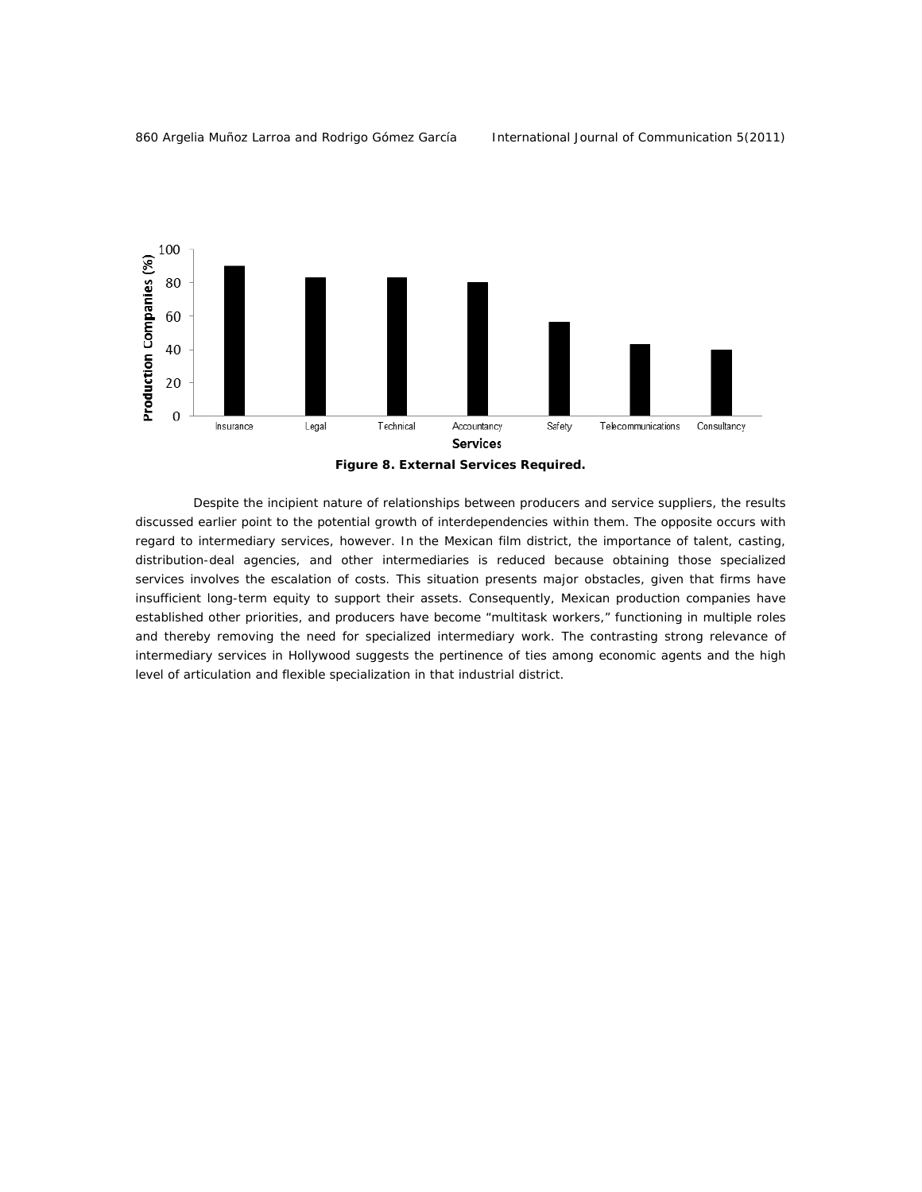



Despite the incipient nature of relationships between producers and service suppliers, the results discussed earlier point to the potential growth of interdependencies within them. The opposite occurs with regard to intermediary services, however. In the Mexican film district, the importance of talent, casting, distribution-deal agencies, and other intermediaries is reduced because obtaining those specialized services involves the escalation of costs. This situation presents major obstacles, given that firms have insufficient long-term equity to support their assets. Consequently, Mexican production companies have established other priorities, and producers have become "multitask workers," functioning in multiple roles and thereby removing the need for specialized intermediary work. The contrasting strong relevance of intermediary services in Hollywood suggests the pertinence of ties among economic agents and the high level of articulation and flexible specialization in that industrial district.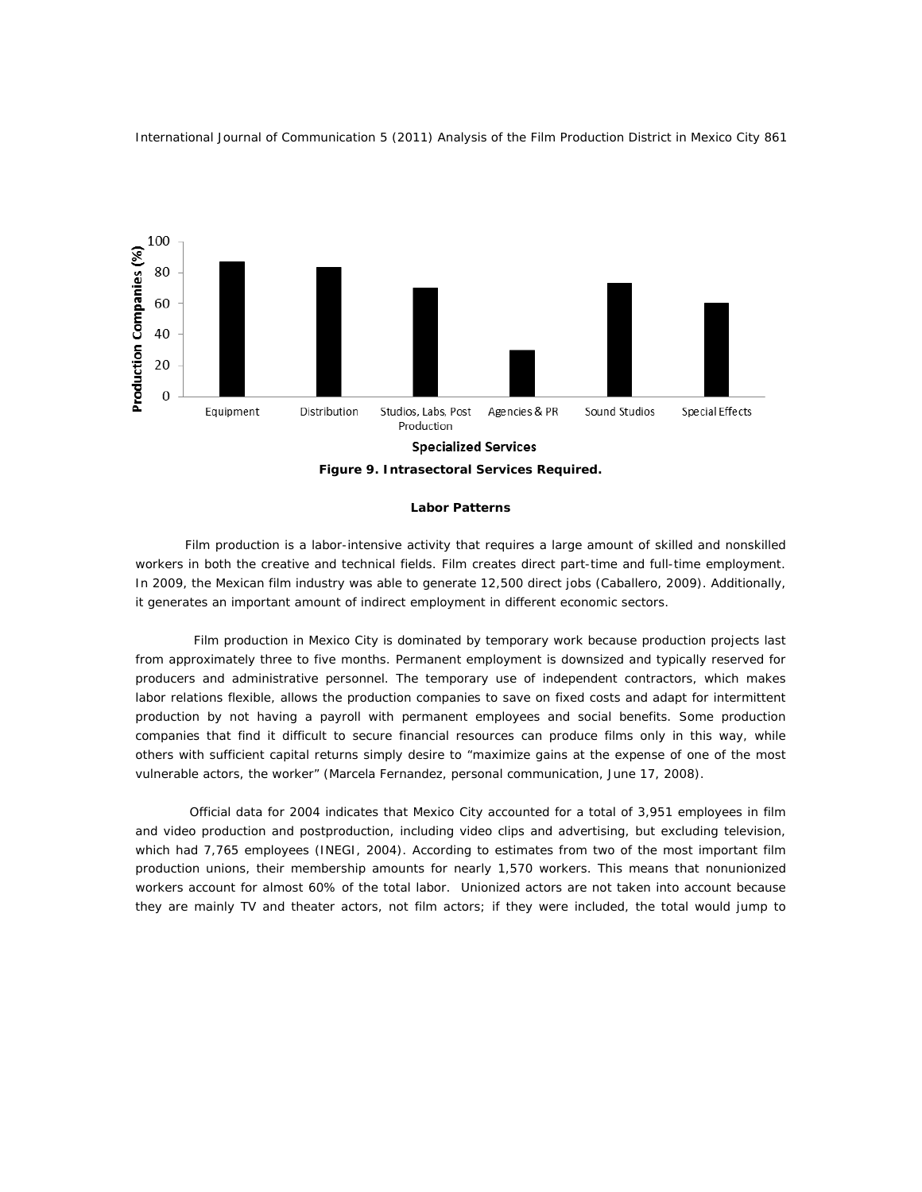

#### **Labor Patterns**

Film production is a labor-intensive activity that requires a large amount of skilled and nonskilled workers in both the creative and technical fields. Film creates direct part-time and full-time employment. In 2009, the Mexican film industry was able to generate 12,500 direct jobs (Caballero, 2009). Additionally, it generates an important amount of indirect employment in different economic sectors.

 Film production in Mexico City is dominated by temporary work because production projects last from approximately three to five months. Permanent employment is downsized and typically reserved for producers and administrative personnel. The temporary use of independent contractors, which makes labor relations flexible, allows the production companies to save on fixed costs and adapt for intermittent production by not having a payroll with permanent employees and social benefits. Some production companies that find it difficult to secure financial resources can produce films only in this way, while others with sufficient capital returns simply desire to "maximize gains at the expense of one of the most vulnerable actors, the worker" (Marcela Fernandez, personal communication, June 17, 2008).

 Official data for 2004 indicates that Mexico City accounted for a total of 3,951 employees in film and video production and postproduction, including video clips and advertising, but excluding television, which had 7,765 employees (INEGI, 2004). According to estimates from two of the most important film production unions, their membership amounts for nearly 1,570 workers. This means that nonunionized workers account for almost 60% of the total labor. Unionized actors are not taken into account because they are mainly TV and theater actors, not film actors; if they were included, the total would jump to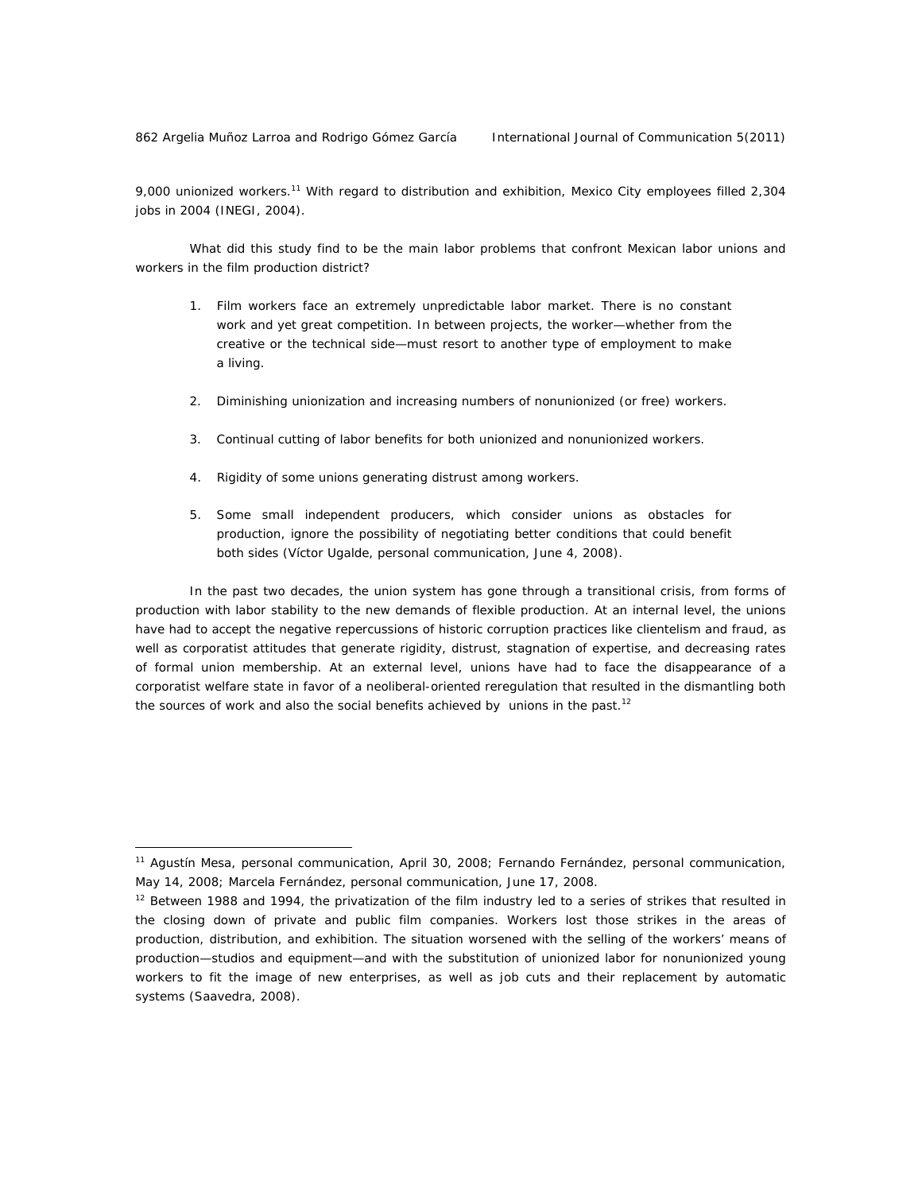$\overline{a}$ 

9,000 unionized workers.<sup>11</sup> With regard to distribution and exhibition, Mexico City employees filled 2,304 jobs in 2004 (INEGI, 2004).

 What did this study find to be the main labor problems that confront Mexican labor unions and workers in the film production district?

- 1. Film workers face an extremely unpredictable labor market. There is no constant work and yet great competition. In between projects, the worker—whether from the creative or the technical side—must resort to another type of employment to make a living.
- 2. Diminishing unionization and increasing numbers of nonunionized (or free) workers.
- 3. Continual cutting of labor benefits for both unionized and nonunionized workers.
- 4. Rigidity of some unions generating distrust among workers.
- 5. Some small independent producers, which consider unions as obstacles for production, ignore the possibility of negotiating better conditions that could benefit both sides (Víctor Ugalde, personal communication, June 4, 2008).

 In the past two decades, the union system has gone through a transitional crisis, from forms of production with labor stability to the new demands of flexible production. At an internal level, the unions have had to accept the negative repercussions of historic corruption practices like clientelism and fraud, as well as corporatist attitudes that generate rigidity, distrust, stagnation of expertise, and decreasing rates of formal union membership. At an external level, unions have had to face the disappearance of a corporatist welfare state in favor of a neoliberal-oriented reregulation that resulted in the dismantling both the sources of work and also the social benefits achieved by unions in the past.<sup>12</sup>

<sup>11</sup> Agustín Mesa, personal communication, April 30, 2008; Fernando Fernández, personal communication, May 14, 2008; Marcela Fernández, personal communication, June 17, 2008.

 $12$  Between 1988 and 1994, the privatization of the film industry led to a series of strikes that resulted in the closing down of private and public film companies. Workers lost those strikes in the areas of production, distribution, and exhibition. The situation worsened with the selling of the workers' means of production—studios and equipment—and with the substitution of unionized labor for nonunionized young workers to fit the image of new enterprises, as well as job cuts and their replacement by automatic systems (Saavedra, 2008).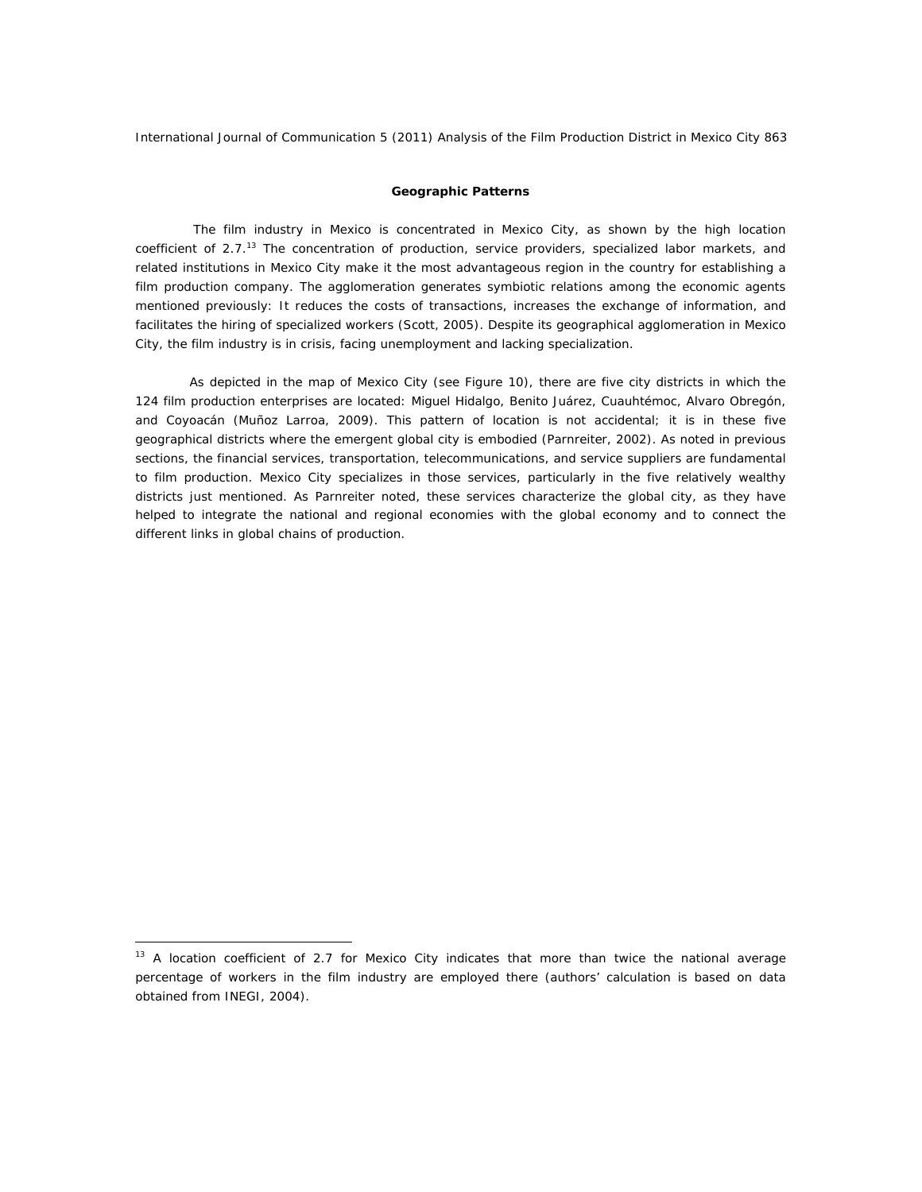## **Geographic Patterns**

The film industry in Mexico is concentrated in Mexico City, as shown by the high location coefficient of 2.7.<sup>13</sup> The concentration of production, service providers, specialized labor markets, and related institutions in Mexico City make it the most advantageous region in the country for establishing a film production company. The agglomeration generates symbiotic relations among the economic agents mentioned previously: It reduces the costs of transactions, increases the exchange of information, and facilitates the hiring of specialized workers (Scott, 2005). Despite its geographical agglomeration in Mexico City, the film industry is in crisis, facing unemployment and lacking specialization.

 As depicted in the map of Mexico City (see Figure 10), there are five city districts in which the 124 film production enterprises are located: Miguel Hidalgo, Benito Juárez, Cuauhtémoc, Alvaro Obregón, and Coyoacán (Muñoz Larroa, 2009). This pattern of location is not accidental; it is in these five geographical districts where the emergent global city is embodied (Parnreiter, 2002). As noted in previous sections, the financial services, transportation, telecommunications, and service suppliers are fundamental to film production. Mexico City specializes in those services, particularly in the five relatively wealthy districts just mentioned. As Parnreiter noted, these services characterize the global city, as they have helped to integrate the national and regional economies with the global economy and to connect the different links in global chains of production.

 $\overline{a}$ 

 $13$  A location coefficient of 2.7 for Mexico City indicates that more than twice the national average percentage of workers in the film industry are employed there (authors' calculation is based on data obtained from INEGI, 2004).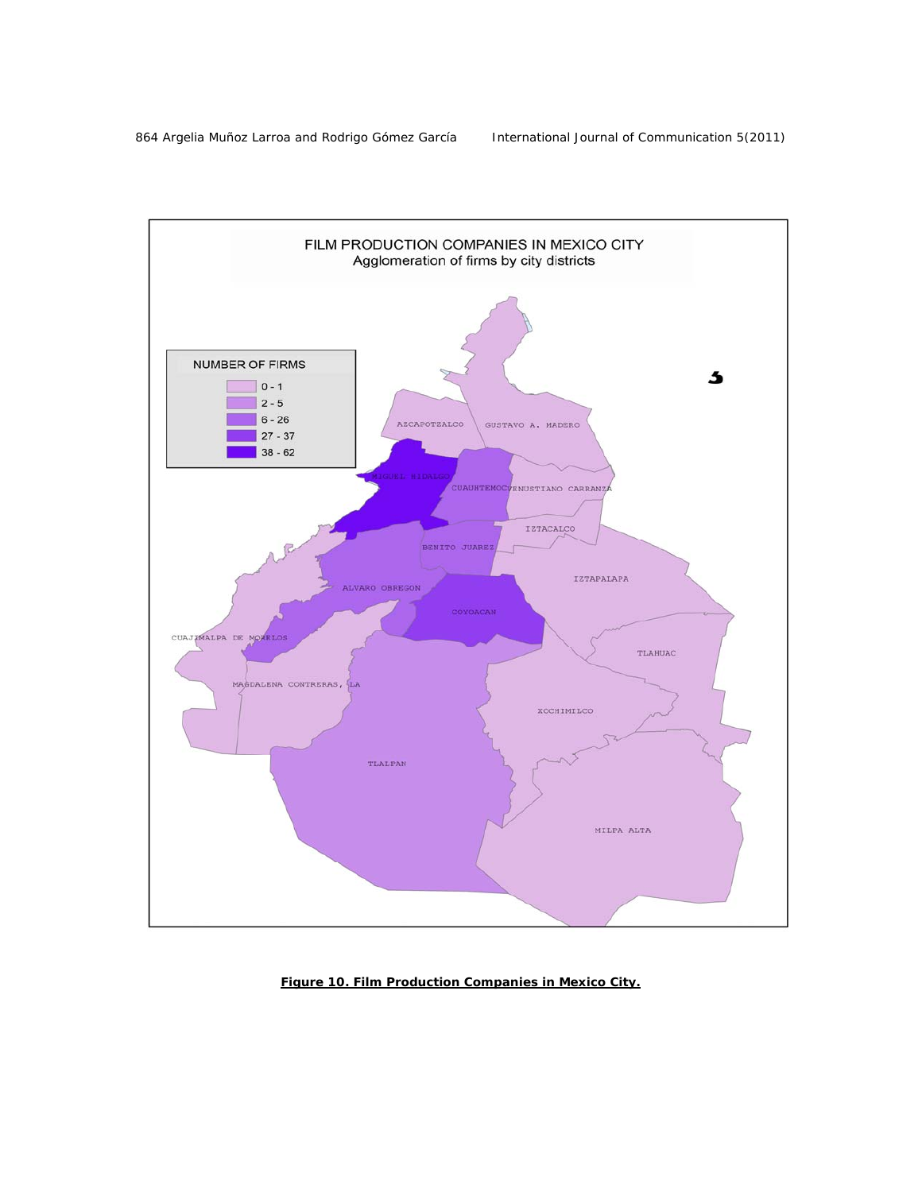

*Figure 10. Film Production Companies in Mexico City.*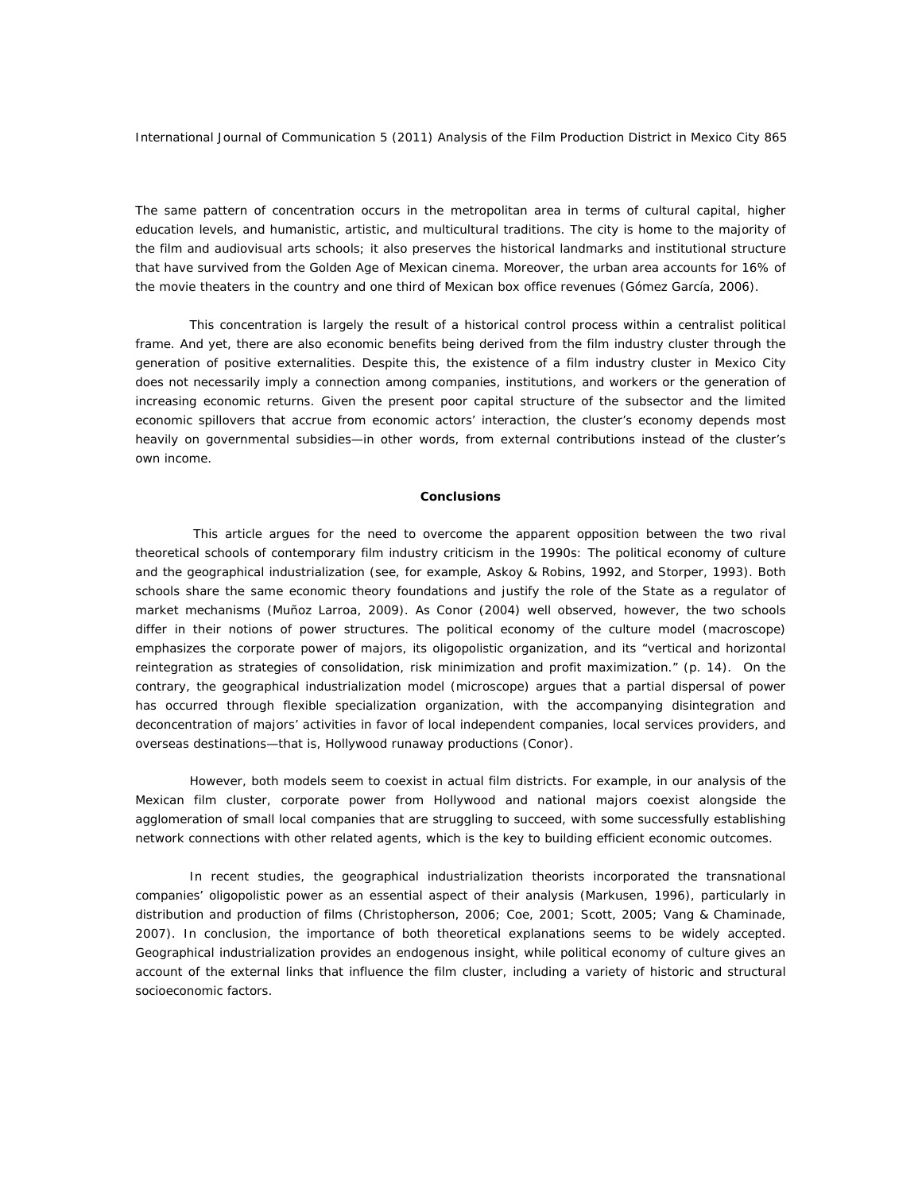The same pattern of concentration occurs in the metropolitan area in terms of cultural capital, higher education levels, and humanistic, artistic, and multicultural traditions. The city is home to the majority of the film and audiovisual arts schools; it also preserves the historical landmarks and institutional structure that have survived from the Golden Age of Mexican cinema. Moreover, the urban area accounts for 16% of the movie theaters in the country and one third of Mexican box office revenues (Gómez García, 2006).

 This concentration is largely the result of a historical control process within a centralist political frame. And yet, there are also economic benefits being derived from the film industry cluster through the generation of positive externalities. Despite this, the existence of a film industry cluster in Mexico City does not necessarily imply a connection among companies, institutions, and workers or the generation of increasing economic returns. Given the present poor capital structure of the subsector and the limited economic spillovers that accrue from economic actors' interaction, the cluster's economy depends most heavily on governmental subsidies—in other words, from external contributions instead of the cluster's own income.

## **Conclusions**

This article argues for the need to overcome the apparent opposition between the two rival theoretical schools of contemporary film industry criticism in the 1990s: The political economy of culture and the geographical industrialization (see, for example, Askoy & Robins, 1992, and Storper, 1993). Both schools share the same economic theory foundations and justify the role of the State as a regulator of market mechanisms (Muñoz Larroa, 2009). As Conor (2004) well observed, however, the two schools differ in their notions of power structures. The political economy of the culture model (macroscope) emphasizes the corporate power of majors, its oligopolistic organization, and its "vertical and horizontal reintegration as strategies of consolidation, risk minimization and profit maximization." (p. 14). On the contrary, the geographical industrialization model (microscope) argues that a partial dispersal of power has occurred through flexible specialization organization, with the accompanying disintegration and deconcentration of majors' activities in favor of local independent companies, local services providers, and overseas destinations—that is, Hollywood runaway productions (Conor).

 However, both models seem to coexist in actual film districts. For example, in our analysis of the Mexican film cluster, corporate power from Hollywood and national majors coexist alongside the agglomeration of small local companies that are struggling to succeed, with some successfully establishing network connections with other related agents, which is the key to building efficient economic outcomes.

 In recent studies, the geographical industrialization theorists incorporated the transnational companies' oligopolistic power as an essential aspect of their analysis (Markusen, 1996), particularly in distribution and production of films (Christopherson, 2006; Coe, 2001; Scott, 2005; Vang & Chaminade, 2007). In conclusion, the importance of both theoretical explanations seems to be widely accepted. Geographical industrialization provides an endogenous insight, while political economy of culture gives an account of the external links that influence the film cluster, including a variety of historic and structural socioeconomic factors.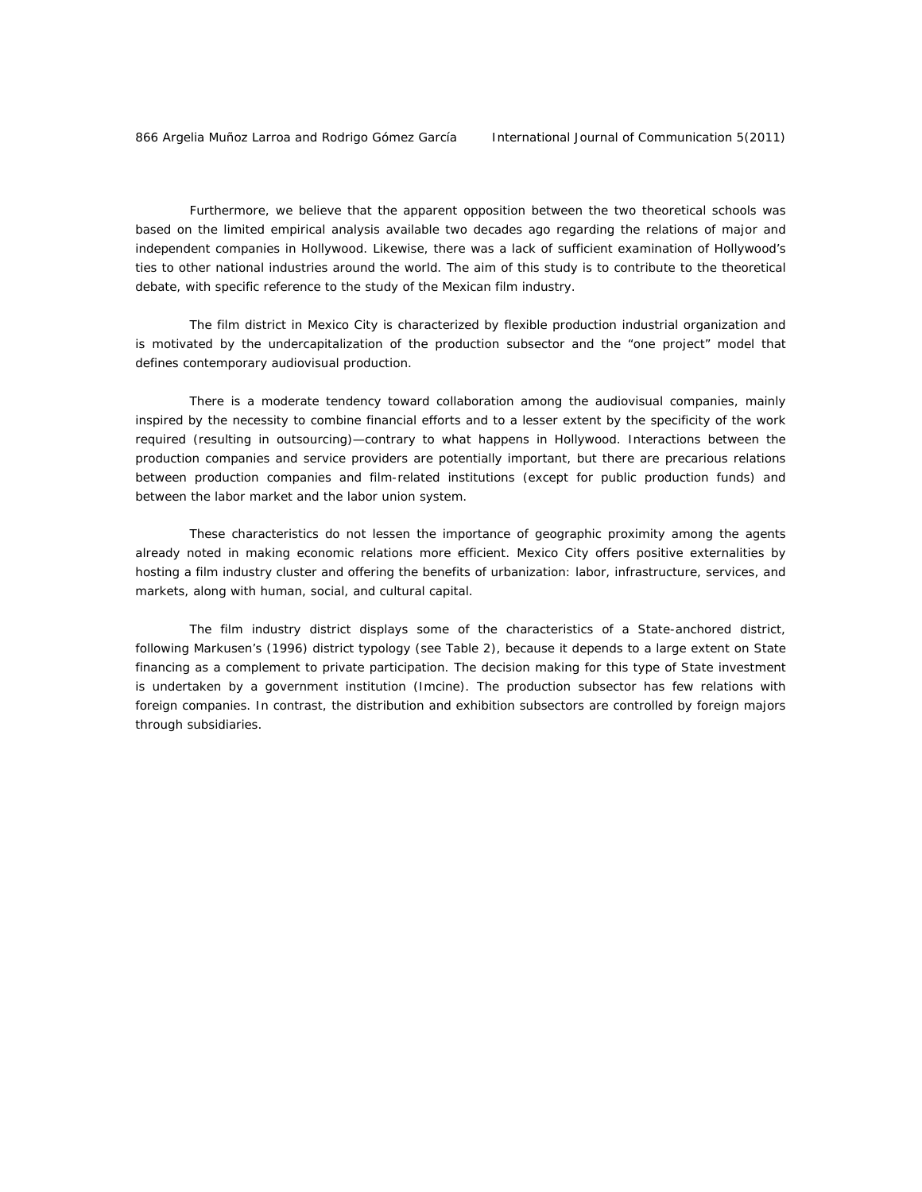Furthermore, we believe that the apparent opposition between the two theoretical schools was based on the limited empirical analysis available two decades ago regarding the relations of major and independent companies in Hollywood. Likewise, there was a lack of sufficient examination of Hollywood's ties to other national industries around the world. The aim of this study is to contribute to the theoretical debate, with specific reference to the study of the Mexican film industry.

 The film district in Mexico City is characterized by flexible production industrial organization and is motivated by the undercapitalization of the production subsector and the "one project" model that defines contemporary audiovisual production.

 There is a moderate tendency toward collaboration among the audiovisual companies, mainly inspired by the necessity to combine financial efforts and to a lesser extent by the specificity of the work required (resulting in outsourcing)—contrary to what happens in Hollywood. Interactions between the production companies and service providers are potentially important, but there are precarious relations between production companies and film-related institutions (except for public production funds) and between the labor market and the labor union system.

 These characteristics do not lessen the importance of geographic proximity among the agents already noted in making economic relations more efficient. Mexico City offers positive externalities by hosting a film industry cluster and offering the benefits of urbanization: labor, infrastructure, services, and markets, along with human, social, and cultural capital.

 The film industry district displays some of the characteristics of a State-anchored district, following Markusen's (1996) district typology (see Table 2), because it depends to a large extent on State financing as a complement to private participation. The decision making for this type of State investment is undertaken by a government institution (Imcine). The production subsector has few relations with foreign companies. In contrast, the distribution and exhibition subsectors are controlled by foreign majors through subsidiaries.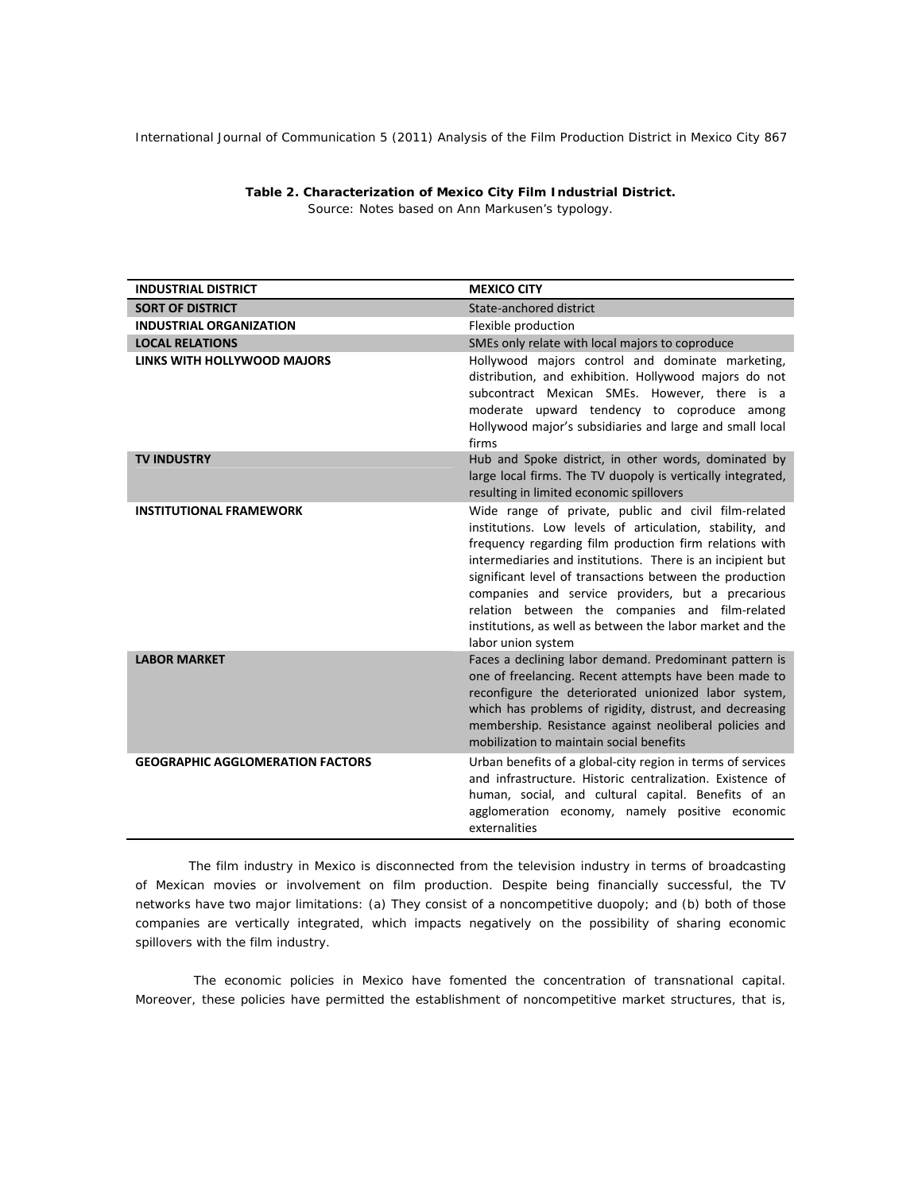| <b>INDUSTRIAL DISTRICT</b>              | <b>MEXICO CITY</b>                                                                                                                                                                                                                                                                                                                                                                                                                                                                               |
|-----------------------------------------|--------------------------------------------------------------------------------------------------------------------------------------------------------------------------------------------------------------------------------------------------------------------------------------------------------------------------------------------------------------------------------------------------------------------------------------------------------------------------------------------------|
| <b>SORT OF DISTRICT</b>                 | State-anchored district                                                                                                                                                                                                                                                                                                                                                                                                                                                                          |
| <b>INDUSTRIAL ORGANIZATION</b>          | Flexible production                                                                                                                                                                                                                                                                                                                                                                                                                                                                              |
| <b>LOCAL RELATIONS</b>                  | SMEs only relate with local majors to coproduce                                                                                                                                                                                                                                                                                                                                                                                                                                                  |
| LINKS WITH HOLLYWOOD MAJORS             | Hollywood majors control and dominate marketing,<br>distribution, and exhibition. Hollywood majors do not<br>subcontract Mexican SMEs. However, there is a<br>moderate upward tendency to coproduce among<br>Hollywood major's subsidiaries and large and small local<br>firms                                                                                                                                                                                                                   |
| <b>TV INDUSTRY</b>                      | Hub and Spoke district, in other words, dominated by<br>large local firms. The TV duopoly is vertically integrated,<br>resulting in limited economic spillovers                                                                                                                                                                                                                                                                                                                                  |
| <b>INSTITUTIONAL FRAMEWORK</b>          | Wide range of private, public and civil film-related<br>institutions. Low levels of articulation, stability, and<br>frequency regarding film production firm relations with<br>intermediaries and institutions. There is an incipient but<br>significant level of transactions between the production<br>companies and service providers, but a precarious<br>relation between the companies and film-related<br>institutions, as well as between the labor market and the<br>labor union system |
| <b>LABOR MARKET</b>                     | Faces a declining labor demand. Predominant pattern is<br>one of freelancing. Recent attempts have been made to<br>reconfigure the deteriorated unionized labor system,<br>which has problems of rigidity, distrust, and decreasing<br>membership. Resistance against neoliberal policies and<br>mobilization to maintain social benefits                                                                                                                                                        |
| <b>GEOGRAPHIC AGGLOMERATION FACTORS</b> | Urban benefits of a global-city region in terms of services<br>and infrastructure. Historic centralization. Existence of<br>human, social, and cultural capital. Benefits of an<br>agglomeration economy, namely positive economic<br>externalities                                                                                                                                                                                                                                              |

*Table 2. Characterization of Mexico City Film Industrial District. Source: Notes based on Ann Markusen's typology.* 

The film industry in Mexico is disconnected from the television industry in terms of broadcasting of Mexican movies or involvement on film production. Despite being financially successful, the TV networks have two major limitations: (a) They consist of a noncompetitive duopoly; and (b) both of those companies are vertically integrated, which impacts negatively on the possibility of sharing economic spillovers with the film industry.

 The economic policies in Mexico have fomented the concentration of transnational capital. Moreover, these policies have permitted the establishment of noncompetitive market structures, that is,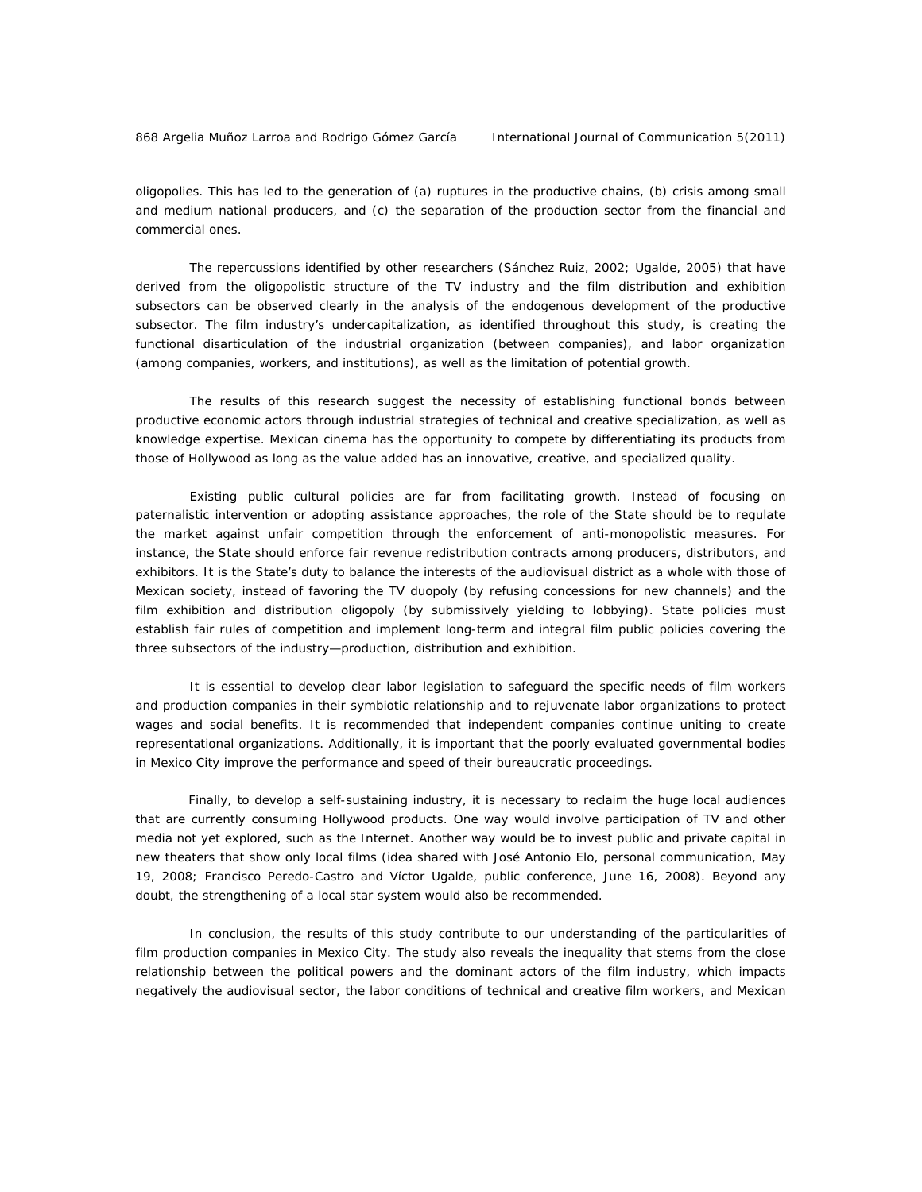oligopolies. This has led to the generation of (a) ruptures in the productive chains, (b) crisis among small and medium national producers, and (c) the separation of the production sector from the financial and commercial ones.

 The repercussions identified by other researchers (Sánchez Ruiz, 2002; Ugalde, 2005) that have derived from the oligopolistic structure of the TV industry and the film distribution and exhibition subsectors can be observed clearly in the analysis of the endogenous development of the productive subsector. The film industry's undercapitalization, as identified throughout this study, is creating the functional disarticulation of the industrial organization (between companies), and labor organization (among companies, workers, and institutions), as well as the limitation of potential growth.

 The results of this research suggest the necessity of establishing functional bonds between productive economic actors through industrial strategies of technical and creative specialization, as well as knowledge expertise. Mexican cinema has the opportunity to compete by differentiating its products from those of Hollywood as long as the value added has an innovative, creative, and specialized quality.

 Existing public cultural policies are far from facilitating growth. Instead of focusing on paternalistic intervention or adopting assistance approaches, the role of the State should be to regulate the market against unfair competition through the enforcement of anti-monopolistic measures. For instance, the State should enforce fair revenue redistribution contracts among producers, distributors, and exhibitors. It is the State's duty to balance the interests of the audiovisual district as a whole with those of Mexican society, instead of favoring the TV duopoly (by refusing concessions for new channels) and the film exhibition and distribution oligopoly (by submissively yielding to lobbying). State policies must establish fair rules of competition and implement long-term and integral film public policies covering the three subsectors of the industry—production, distribution and exhibition.

 It is essential to develop clear labor legislation to safeguard the specific needs of film workers and production companies in their symbiotic relationship and to rejuvenate labor organizations to protect wages and social benefits. It is recommended that independent companies continue uniting to create representational organizations. Additionally, it is important that the poorly evaluated governmental bodies in Mexico City improve the performance and speed of their bureaucratic proceedings.

Finally, to develop a self-sustaining industry, it is necessary to reclaim the huge local audiences that are currently consuming Hollywood products. One way would involve participation of TV and other media not yet explored, such as the Internet. Another way would be to invest public and private capital in new theaters that show only local films (idea shared with José Antonio Elo, personal communication, May 19, 2008; Francisco Peredo-Castro and Víctor Ugalde, public conference, June 16, 2008). Beyond any doubt, the strengthening of a local star system would also be recommended.

 In conclusion, the results of this study contribute to our understanding of the particularities of film production companies in Mexico City. The study also reveals the inequality that stems from the close relationship between the political powers and the dominant actors of the film industry, which impacts negatively the audiovisual sector, the labor conditions of technical and creative film workers, and Mexican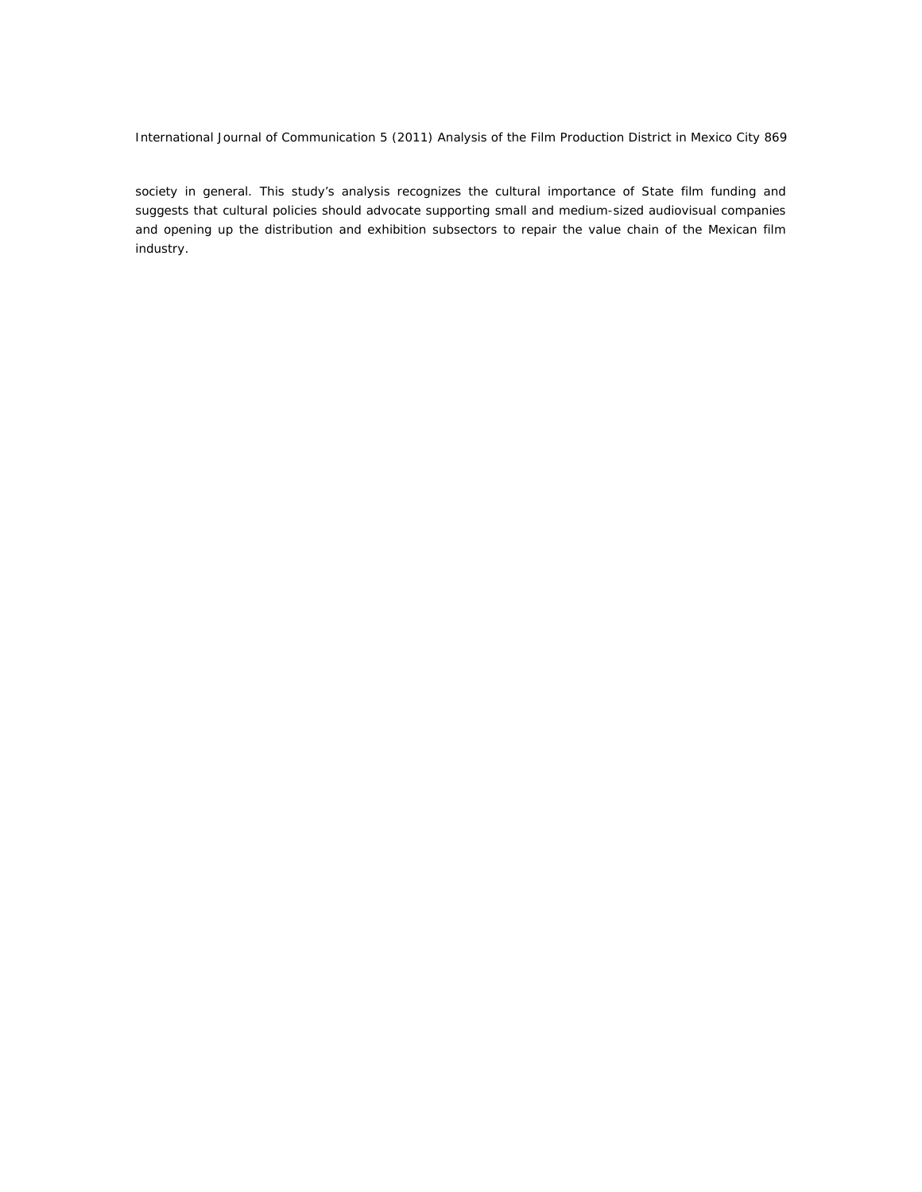society in general. This study's analysis recognizes the cultural importance of State film funding and suggests that cultural policies should advocate supporting small and medium-sized audiovisual companies and opening up the distribution and exhibition subsectors to repair the value chain of the Mexican film industry.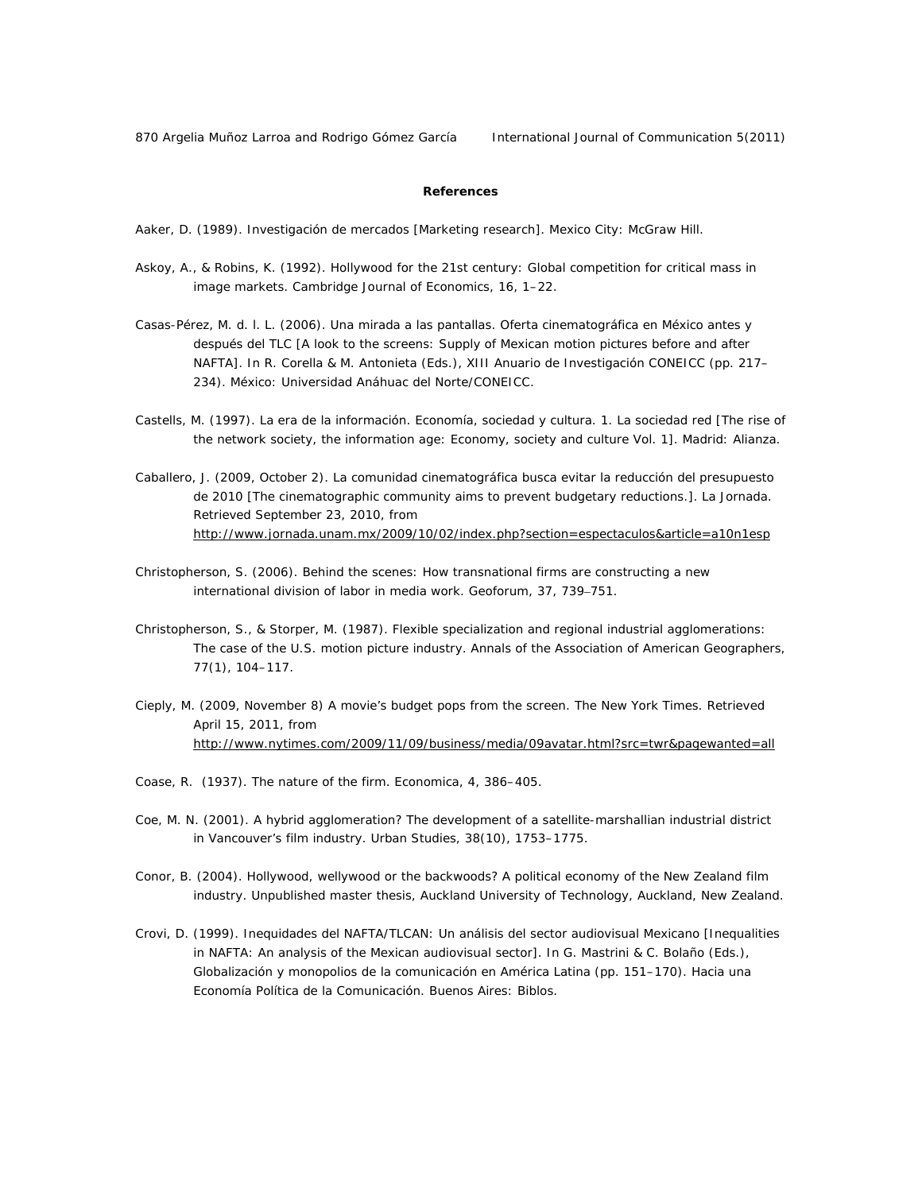870 Argelia Muñoz Larroa and Rodrigo Gómez García International Journal of Communication 5(2011)

## **References**

Aaker, D. (1989). *Investigación de mercados* [Marketing research]. Mexico City: McGraw Hill.

- Askoy, A., & Robins, K. (1992). Hollywood for the 21st century: Global competition for critical mass in image markets. *Cambridge Journal of Economics*, *16*, 1–22.
- Casas-Pérez, M. d. l. L. (2006). Una mirada a las pantallas. Oferta cinematográfica en México antes y después del TLC [A look to the screens: Supply of Mexican motion pictures before and after NAFTA]. In R. Corella & M. Antonieta (Eds.), *XIII Anuario de Investigación CONEICC* (pp. 217– 234). México: Universidad Anáhuac del Norte/CONEICC.
- Castells, M. (1997). *La era de la información. Economía, sociedad y cultura. 1. La sociedad red* [The rise of the network society, the information age: Economy, society and culture Vol. 1]. Madrid: Alianza.
- Caballero, J. (2009, October 2). La comunidad cinematográfica busca evitar la reducción del presupuesto de 2010 [The cinematographic community aims to prevent budgetary reductions.]. *La Jornada*. Retrieved September 23, 2010, from http://www.jornada.unam.mx/2009/10/02/index.php?section=espectaculos&article=a10n1esp
- Christopherson, S. (2006). Behind the scenes: How transnational firms are constructing a new international division of labor in media work. *Geoforum*, 37, 739–751.
- Christopherson, S., & Storper, M. (1987). Flexible specialization and regional industrial agglomerations: The case of the U.S. motion picture industry. *Annals of the Association of American Geographers*, *77*(1), 104–117.
- Cieply, M. (2009, November 8) A movie's budget pops from the screen. *The New York Times*. Retrieved April 15, 2011, from http://www.nytimes.com/2009/11/09/business/media/09avatar.html?src=twr&pagewanted=all
- Coase, R. (1937). The nature of the firm. *Economica*, *4*, 386–405.
- Coe, M. N. (2001). A hybrid agglomeration? The development of a satellite-marshallian industrial district in Vancouver's film industry. *Urban Studies*, *38*(10), 1753–1775.
- Conor, B. (2004). Hollywood, wellywood or the backwoods? A political economy of the New Zealand film industry. Unpublished master thesis, Auckland University of Technology, Auckland, New Zealand.
- Crovi, D. (1999). Inequidades del NAFTA/TLCAN: Un análisis del sector audiovisual Mexicano [Inequalities in NAFTA: An analysis of the Mexican audiovisual sector]. In G. Mastrini & C. Bolaño (Eds.), *Globalización y monopolios de la comunicación en América Latina (pp. 151–170). Hacia una* Economía Política de la Comunicación. Buenos Aires: Biblos.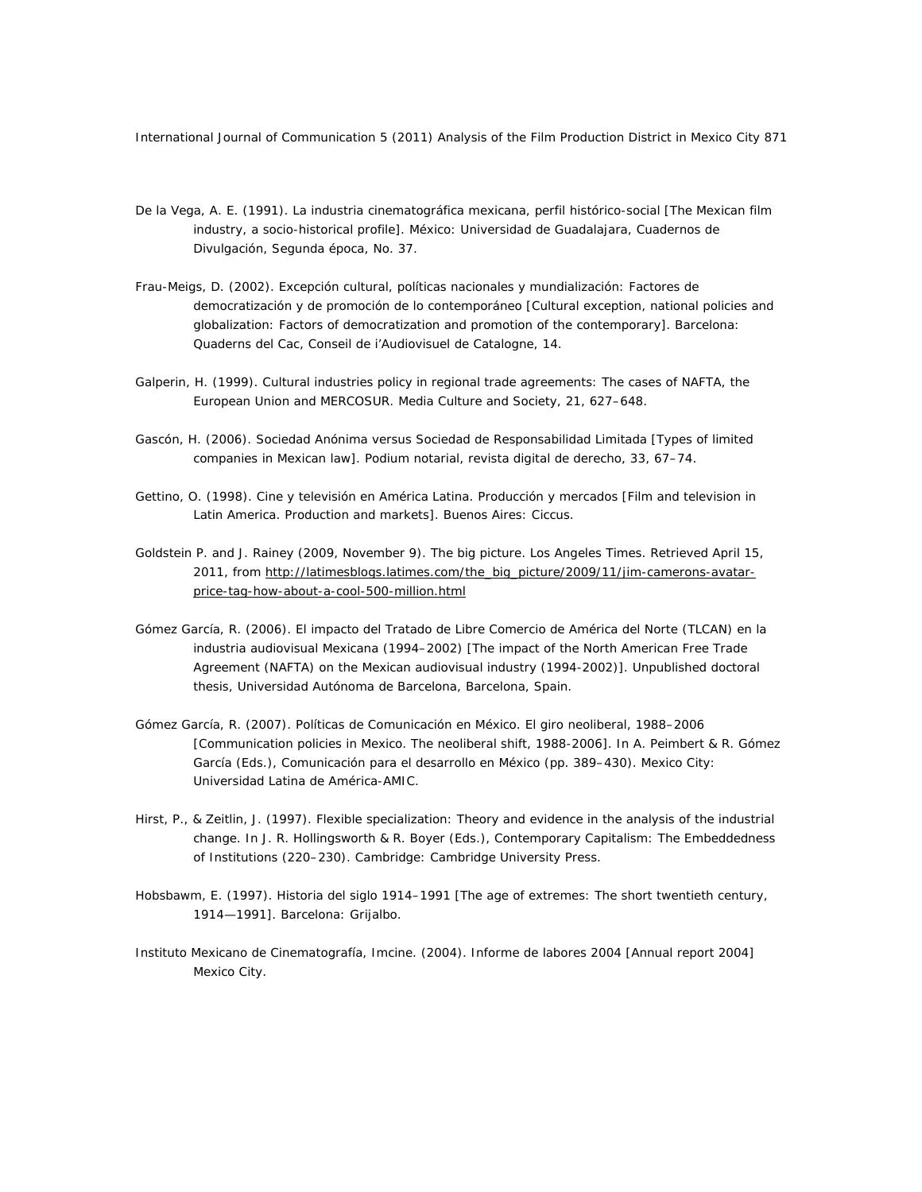- De la Vega, A. E. (1991). *La industria cinematográfica mexicana, perfil histórico-social* [The Mexican film industry, a socio-historical profile]. México: Universidad de Guadalajara, Cuadernos de Divulgación, Segunda época, No. 37.
- Frau-Meigs, D. (2002). *Excepción cultural, políticas nacionales y mundialización: Factores de democratización y de promoción de lo contemporáneo* [Cultural exception, national policies and globalization: Factors of democratization and promotion of the contemporary]. Barcelona: Quaderns del Cac, Conseil de i'Audiovisuel de Catalogne, 14.
- Galperin, H. (1999). Cultural industries policy in regional trade agreements: The cases of NAFTA, the European Union and MERCOSUR. *Media Culture and Society, 21*, 627–648.
- Gascón, H. (2006). Sociedad Anónima versus Sociedad de Responsabilidad Limitada [Types of limited companies in Mexican law]. *Podium notarial, revista digital de derecho,* 33, 67–74.
- Gettino, O. (1998). *Cine y televisión en América Latina. Producción y mercados* [Film and television in Latin America. Production and markets]. Buenos Aires: Ciccus.
- Goldstein P. and J. Rainey (2009, November 9). The big picture. *Los Angeles Times.* Retrieved April 15, 2011, from *http://latimesblogs.latimes.com/the\_big\_picture/2009/11/jim-camerons-avatarprice-tag-how-about-a-cool-500-million.html*
- Gómez García, R. (2006). *El impacto del Tratado de Libre Comercio de América del Norte (TLCAN) en la industria audiovisual Mexicana (1994–2002)* [The impact of the North American Free Trade Agreement (NAFTA) on the Mexican audiovisual industry (1994-2002)]. Unpublished doctoral thesis, Universidad Autónoma de Barcelona, Barcelona, Spain.
- Gómez García, R. (2007). Políticas de Comunicación en México. El giro neoliberal, 1988–2006 [Communication policies in Mexico. The neoliberal shift, 1988-2006]*.* In A. Peimbert & R. Gómez García (Eds.), *Comunicación para el desarrollo en México* (pp. 389–430). Mexico City: Universidad Latina de América-AMIC.
- Hirst, P., & Zeitlin, J. (1997). Flexible specialization: Theory and evidence in the analysis of the industrial change. In J. R. Hollingsworth & R. Boyer (Eds.), *Contemporary Capitalism: The Embeddedness of Institutions* (220–230). Cambridge: Cambridge University Press.
- Hobsbawm, E. (1997). *Historia del siglo 1914–1991* [The age of extremes: The short twentieth century, 1914—1991]. Barcelona: Grijalbo.
- Instituto Mexicano de Cinematografía, Imcine. (2004). *Informe de labores 2004* [Annual report 2004] Mexico City.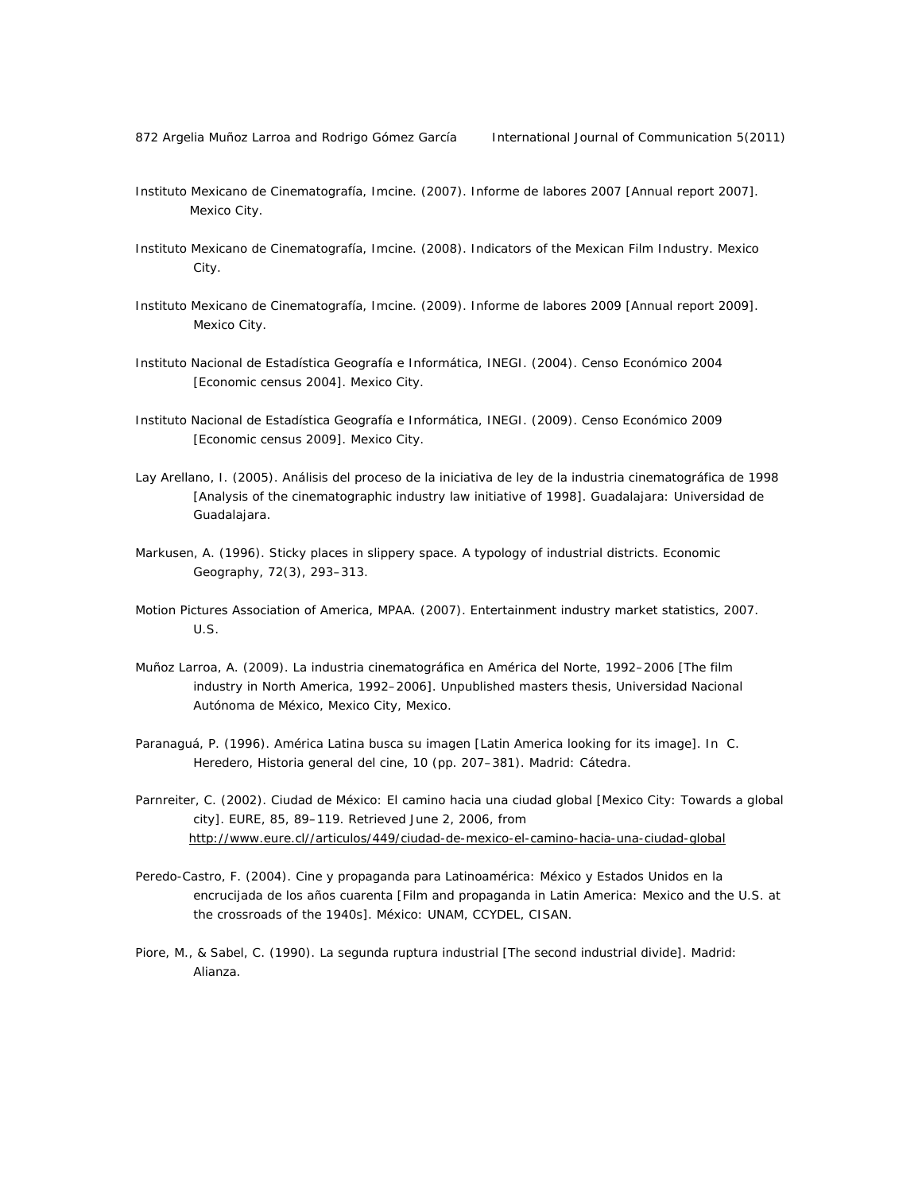- Instituto Mexicano de Cinematografía, Imcine. (2007). *Informe de labores 2007* [Annual report 2007]. Mexico City.
- Instituto Mexicano de Cinematografía, Imcine. (2008). *Indicators of the Mexican Film Industry*. Mexico City.
- Instituto Mexicano de Cinematografía, Imcine. (2009). *Informe de labores 2009* [Annual report 2009]. Mexico City.
- Instituto Nacional de Estadística Geografía e Informática, INEGI. (2004). *Censo Económico 2004*  [Economic census 2004]. Mexico City.
- Instituto Nacional de Estadística Geografía e Informática, INEGI. (2009). *Censo Económico* 2009 [Economic census 2009]. Mexico City.
- Lay Arellano, I. (2005). *Análisis del proceso de la iniciativa de ley de la industria cinematográfica de 1998*  [Analysis of the cinematographic industry law initiative of 1998]. Guadalajara: Universidad de Guadalajara.
- Markusen, A. (1996). Sticky places in slippery space. A typology of industrial districts. *Economic Geography, 72*(3), 293–313.
- Motion Pictures Association of America, MPAA. (2007). *Entertainment industry market statistics, 2007.* U.S.
- Muñoz Larroa, A. (2009). *La industria cinematográfica en América del Norte, 1992–2006* [The film industry in North America, 1992–2006]. Unpublished masters thesis, Universidad Nacional Autónoma de México, Mexico City, Mexico.
- Paranaguá, P. (1996). América Latina busca su imagen [Latin America looking for its image]. In C. Heredero, *Historia general del cine*, *10* (pp. 207–381). Madrid: Cátedra.
- Parnreiter, C. (2002). Ciudad de México: El camino hacia una ciudad global [Mexico City: Towards a global city]. *EURE, 85*, 89–119. Retrieved June 2, 2006, from  *http://www.eure.cl//articulos/449/ciudad-de-mexico-el-camino-hacia-una-ciudad-global*
- Peredo-Castro, F. (2004). *Cine y propaganda para Latinoamérica: México y Estados Unidos en la encrucijada de los años cuarenta* [Film and propaganda in Latin America: Mexico and the U.S. at the crossroads of the 1940s]*.* México: UNAM, CCYDEL, CISAN.
- Piore, M., & Sabel, C. (1990). *La segunda ruptura industrial* [The second industrial divide]. Madrid: Alianza.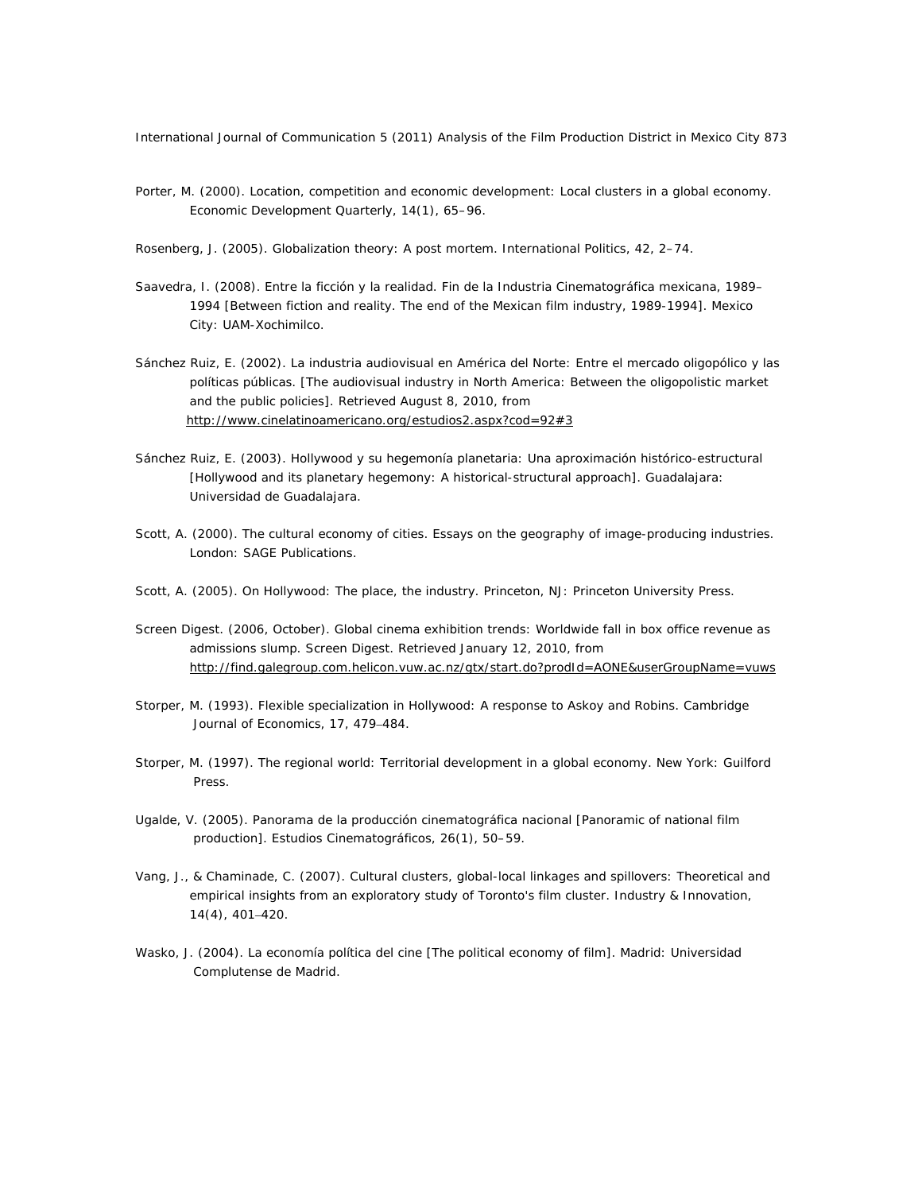- Porter, M. (2000). Location, competition and economic development: Local clusters in a global economy. *Economic Development Quarterly, 14*(1), 65–96.
- Rosenberg, J. (2005). Globalization theory: A post mortem. *International Politics, 42*, 2–74.
- Saavedra, I. (2008). *Entre la ficción y la realidad. Fin de la Industria Cinematográfica mexicana, 1989– 1994* [Between fiction and reality. The end of the Mexican film industry, 1989-1994]. Mexico City: UAM-Xochimilco.
- Sánchez Ruiz, E. (2002). La industria audiovisual en América del Norte: Entre el mercado oligopólico y las políticas públicas. [The audiovisual industry in North America: Between the oligopolistic market and the public policies]. Retrieved August 8, 2010, from http://www.cinelatinoamericano.org/estudios2.aspx?cod=92#3
- Sánchez Ruiz, E. (2003). *Hollywood y su hegemonía planetaria: Una aproximación histórico-estructural*  [Hollywood and its planetary hegemony: A historical-structural approach]. Guadalajara: Universidad de Guadalajara.
- Scott, A. (2000). *The cultural economy of cities. Essays on the geography of image-producing industries.* London: SAGE Publications.
- Scott, A. (2005). *On Hollywood: The place, the industry*. Princeton, NJ: Princeton University Press.
- Screen Digest. (2006, October). Global cinema exhibition trends: Worldwide fall in box office revenue as admissions slump. *Screen Digest*. Retrieved January 12, 2010, from *http://find.galegroup.com.helicon.vuw.ac.nz/gtx/start.do?prodId=AONE&userGroupName=vuws*
- Storper, M. (1993). Flexible specialization in Hollywood: A response to Askoy and Robins. *Cambridge Journal of Economics*, *17*, 479–484.
- Storper, M. (1997). *The regional world: Territorial development in a global economy.* New York: Guilford Press.
- Ugalde, V. (2005). Panorama de la producción cinematográfica nacional [Panoramic of national film production]. *Estudios Cinematográficos, 26*(1), 50–59.
- Vang, J., & Chaminade, C. (2007). Cultural clusters, global-local linkages and spillovers: Theoretical and empirical insights from an exploratory study of Toronto's film cluster. *Industry & Innovation*, *14*(4), 401–420.
- Wasko, J. (2004). *La economía política del cine* [The political economy of film]. Madrid: Universidad Complutense de Madrid.